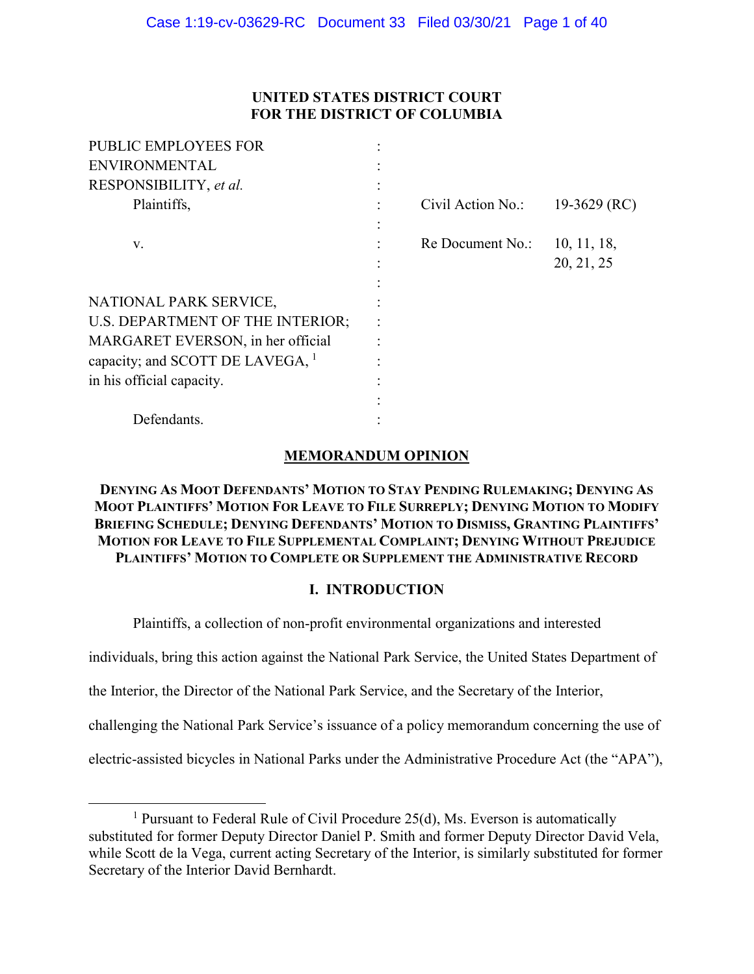## **UNITED STATES DISTRICT COURT FOR THE DISTRICT OF COLUMBIA**

| <b>PUBLIC EMPLOYEES FOR</b>        |                   |              |
|------------------------------------|-------------------|--------------|
| <b>ENVIRONMENTAL</b>               |                   |              |
| RESPONSIBILITY, et al.             |                   |              |
| Plaintiffs,                        | Civil Action No.: | 19-3629 (RC) |
|                                    |                   |              |
| V.                                 | Re Document No.:  | 10, 11, 18,  |
|                                    |                   | 20, 21, 25   |
|                                    |                   |              |
| NATIONAL PARK SERVICE,             |                   |              |
| U.S. DEPARTMENT OF THE INTERIOR;   |                   |              |
| MARGARET EVERSON, in her official  |                   |              |
| capacity; and SCOTT DE LAVEGA, $1$ |                   |              |
| in his official capacity.          |                   |              |
|                                    |                   |              |
| Defendants.                        |                   |              |
|                                    |                   |              |

## **MEMORANDUM OPINION**

## **DENYING AS MOOT DEFENDANTS' MOTION TO STAY PENDING RULEMAKING; DENYING AS MOOT PLAINTIFFS' MOTION FOR LEAVE TO FILE SURREPLY; DENYING MOTION TO MODIFY BRIEFING SCHEDULE; DENYING DEFENDANTS' MOTION TO DISMISS, GRANTING PLAINTIFFS' MOTION FOR LEAVE TO FILE SUPPLEMENTAL COMPLAINT; DENYING WITHOUT PREJUDICE PLAINTIFFS' MOTION TO COMPLETE OR SUPPLEMENT THE ADMINISTRATIVE RECORD**

## **I. INTRODUCTION**

Plaintiffs, a collection of non-profit environmental organizations and interested

individuals, bring this action against the National Park Service, the United States Department of

the Interior, the Director of the National Park Service, and the Secretary of the Interior,

challenging the National Park Service's issuance of a policy memorandum concerning the use of

electric-assisted bicycles in National Parks under the Administrative Procedure Act (the "APA"),

<sup>&</sup>lt;u>1</u> <sup>1</sup> Pursuant to Federal Rule of Civil Procedure 25(d), Ms. Everson is automatically substituted for former Deputy Director Daniel P. Smith and former Deputy Director David Vela, while Scott de la Vega, current acting Secretary of the Interior, is similarly substituted for former Secretary of the Interior David Bernhardt.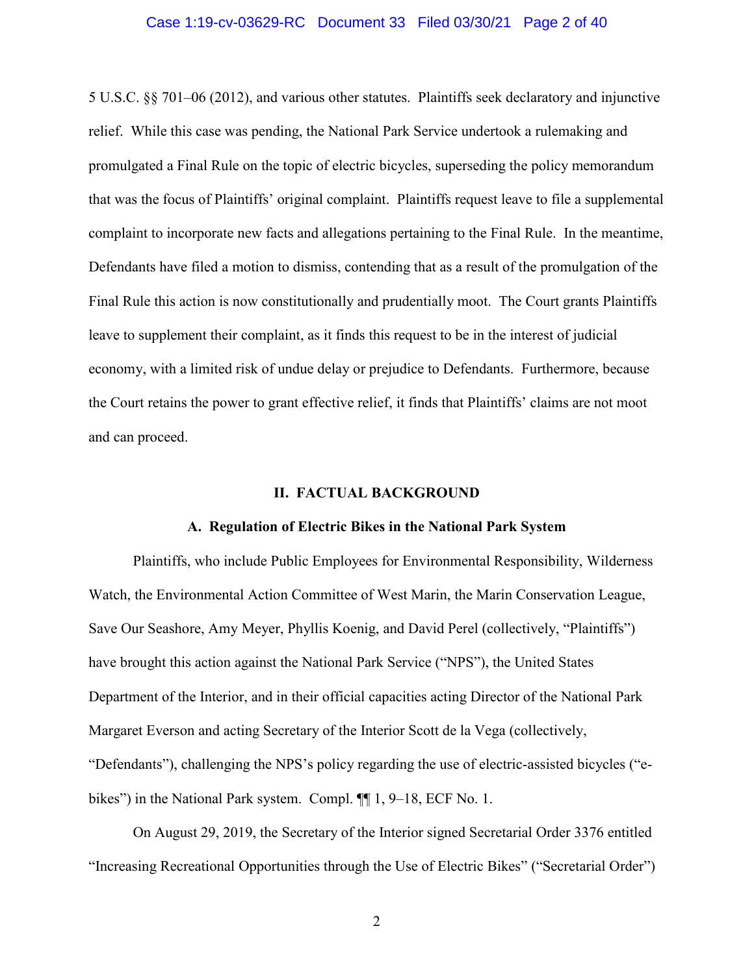#### Case 1:19-cv-03629-RC Document 33 Filed 03/30/21 Page 2 of 40

5 U.S.C. §§ 701–06 (2012), and various other statutes. Plaintiffs seek declaratory and injunctive relief. While this case was pending, the National Park Service undertook a rulemaking and promulgated a Final Rule on the topic of electric bicycles, superseding the policy memorandum that was the focus of Plaintiffs' original complaint. Plaintiffs request leave to file a supplemental complaint to incorporate new facts and allegations pertaining to the Final Rule. In the meantime, Defendants have filed a motion to dismiss, contending that as a result of the promulgation of the Final Rule this action is now constitutionally and prudentially moot. The Court grants Plaintiffs leave to supplement their complaint, as it finds this request to be in the interest of judicial economy, with a limited risk of undue delay or prejudice to Defendants. Furthermore, because the Court retains the power to grant effective relief, it finds that Plaintiffs' claims are not moot and can proceed.

#### **II. FACTUAL BACKGROUND**

#### **A. Regulation of Electric Bikes in the National Park System**

Plaintiffs, who include Public Employees for Environmental Responsibility, Wilderness Watch, the Environmental Action Committee of West Marin, the Marin Conservation League, Save Our Seashore, Amy Meyer, Phyllis Koenig, and David Perel (collectively, "Plaintiffs") have brought this action against the National Park Service ("NPS"), the United States Department of the Interior, and in their official capacities acting Director of the National Park Margaret Everson and acting Secretary of the Interior Scott de la Vega (collectively, "Defendants"), challenging the NPS's policy regarding the use of electric-assisted bicycles ("ebikes") in the National Park system. Compl.  $\P$  1, 9–18, ECF No. 1.

On August 29, 2019, the Secretary of the Interior signed Secretarial Order 3376 entitled "Increasing Recreational Opportunities through the Use of Electric Bikes" ("Secretarial Order")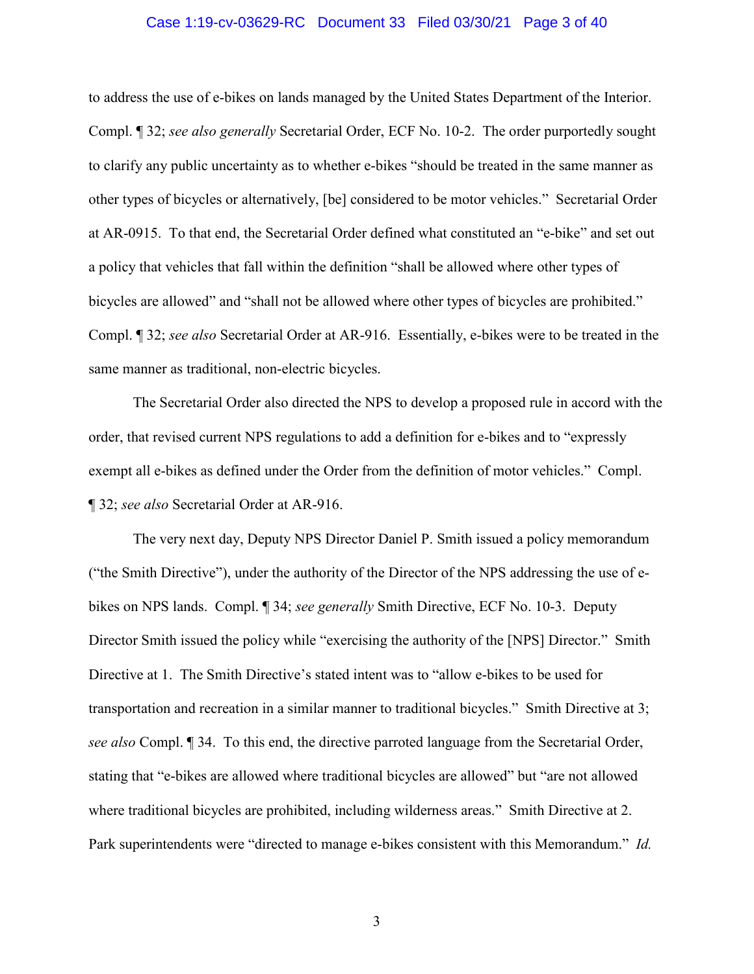#### Case 1:19-cv-03629-RC Document 33 Filed 03/30/21 Page 3 of 40

to address the use of e-bikes on lands managed by the United States Department of the Interior. Compl. ¶ 32; *see also generally* Secretarial Order, ECF No. 10-2. The order purportedly sought to clarify any public uncertainty as to whether e-bikes "should be treated in the same manner as other types of bicycles or alternatively, [be] considered to be motor vehicles." Secretarial Order at AR-0915.To that end, the Secretarial Order defined what constituted an "e-bike" and set out a policy that vehicles that fall within the definition "shall be allowed where other types of bicycles are allowed" and "shall not be allowed where other types of bicycles are prohibited." Compl. ¶ 32; *see also* Secretarial Order at AR-916. Essentially, e-bikes were to be treated in the same manner as traditional, non-electric bicycles.

The Secretarial Order also directed the NPS to develop a proposed rule in accord with the order, that revised current NPS regulations to add a definition for e-bikes and to "expressly exempt all e-bikes as defined under the Order from the definition of motor vehicles." Compl. ¶ 32; *see also* Secretarial Order at AR-916.

The very next day, Deputy NPS Director Daniel P. Smith issued a policy memorandum ("the Smith Directive"), under the authority of the Director of the NPS addressing the use of ebikes on NPS lands. Compl. ¶ 34; *see generally* Smith Directive, ECF No. 10-3. Deputy Director Smith issued the policy while "exercising the authority of the [NPS] Director." Smith Directive at 1. The Smith Directive's stated intent was to "allow e-bikes to be used for transportation and recreation in a similar manner to traditional bicycles." Smith Directive at 3; *see also* Compl. ¶ 34. To this end, the directive parroted language from the Secretarial Order, stating that "e-bikes are allowed where traditional bicycles are allowed" but "are not allowed where traditional bicycles are prohibited, including wilderness areas." Smith Directive at 2. Park superintendents were "directed to manage e-bikes consistent with this Memorandum." *Id.*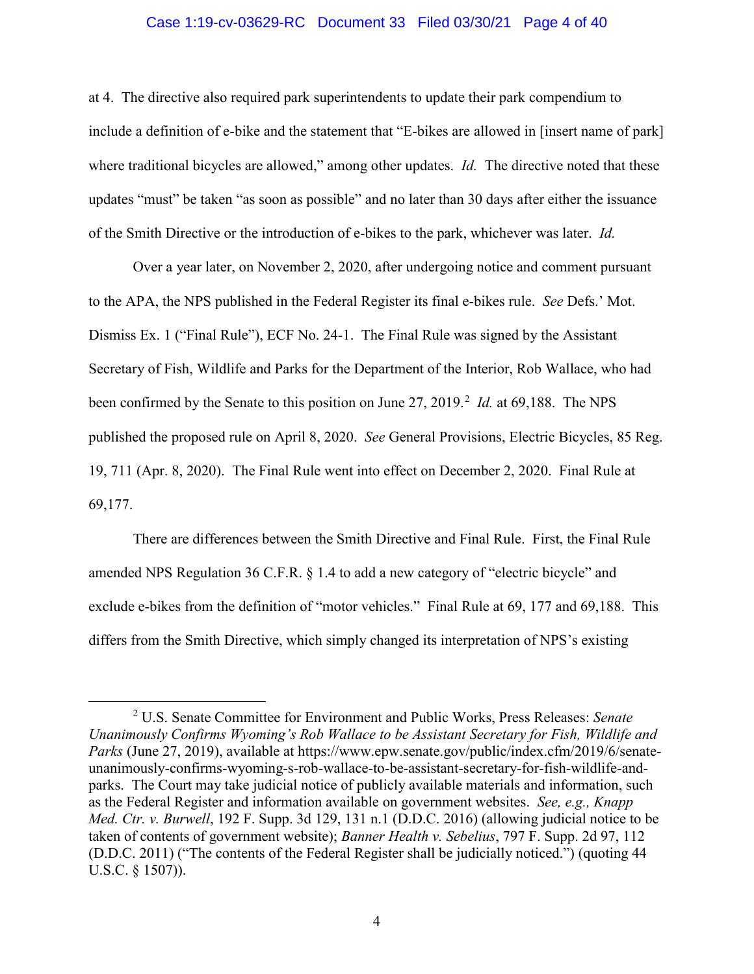#### Case 1:19-cv-03629-RC Document 33 Filed 03/30/21 Page 4 of 40

at 4.The directive also required park superintendents to update their park compendium to include a definition of e-bike and the statement that "E-bikes are allowed in [insert name of park] where traditional bicycles are allowed," among other updates. *Id.* The directive noted that these updates "must" be taken "as soon as possible" and no later than 30 days after either the issuance of the Smith Directive or the introduction of e-bikes to the park, whichever was later. *Id.*

Over a year later, on November 2, 2020, after undergoing notice and comment pursuant to the APA, the NPS published in the Federal Register its final e-bikes rule. *See* Defs.' Mot. Dismiss Ex. 1 ("Final Rule"), ECF No. 24-1. The Final Rule was signed by the Assistant Secretary of Fish, Wildlife and Parks for the Department of the Interior, Rob Wallace, who had been confirmed by the Senate to this position on June 27, 2019.<sup>2</sup> *Id.* at 69,188. The NPS published the proposed rule on April 8, 2020. *See* General Provisions, Electric Bicycles, 85 Reg. 19, 711 (Apr. 8, 2020). The Final Rule went into effect on December 2, 2020. Final Rule at 69,177.

There are differences between the Smith Directive and Final Rule. First, the Final Rule amended NPS Regulation 36 C.F.R. § 1.4 to add a new category of "electric bicycle" and exclude e-bikes from the definition of "motor vehicles." Final Rule at 69, 177 and 69,188. This differs from the Smith Directive, which simply changed its interpretation of NPS's existing

 $\overline{\phantom{2}}$  U.S. Senate Committee for Environment and Public Works, Press Releases: *Senate Unanimously Confirms Wyoming's Rob Wallace to be Assistant Secretary for Fish, Wildlife and Parks* (June 27, 2019), available at https://www.epw.senate.gov/public/index.cfm/2019/6/senateunanimously-confirms-wyoming-s-rob-wallace-to-be-assistant-secretary-for-fish-wildlife-andparks. The Court may take judicial notice of publicly available materials and information, such as the Federal Register and information available on government websites. *See, e.g., Knapp Med. Ctr. v. Burwell*, 192 F. Supp. 3d 129, 131 n.1 (D.D.C. 2016) (allowing judicial notice to be taken of contents of government website); *Banner Health v. Sebelius*, 797 F. Supp. 2d 97, 112 (D.D.C. 2011) ("The contents of the Federal Register shall be judicially noticed.") (quoting 44 U.S.C. § 1507)).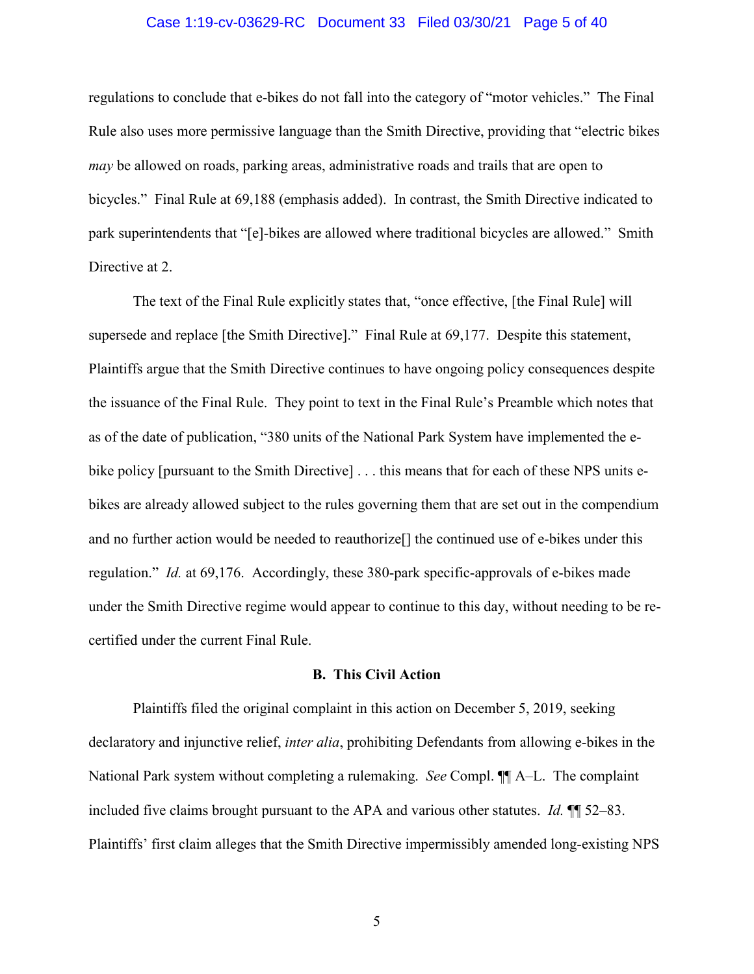#### Case 1:19-cv-03629-RC Document 33 Filed 03/30/21 Page 5 of 40

regulations to conclude that e-bikes do not fall into the category of "motor vehicles." The Final Rule also uses more permissive language than the Smith Directive, providing that "electric bikes *may* be allowed on roads, parking areas, administrative roads and trails that are open to bicycles." Final Rule at 69,188 (emphasis added). In contrast, the Smith Directive indicated to park superintendents that "[e]-bikes are allowed where traditional bicycles are allowed." Smith Directive at 2.

The text of the Final Rule explicitly states that, "once effective, [the Final Rule] will supersede and replace [the Smith Directive]." Final Rule at 69,177. Despite this statement, Plaintiffs argue that the Smith Directive continues to have ongoing policy consequences despite the issuance of the Final Rule. They point to text in the Final Rule's Preamble which notes that as of the date of publication, "380 units of the National Park System have implemented the ebike policy [pursuant to the Smith Directive] . . . this means that for each of these NPS units ebikes are already allowed subject to the rules governing them that are set out in the compendium and no further action would be needed to reauthorize[] the continued use of e-bikes under this regulation." *Id.* at 69,176. Accordingly, these 380-park specific-approvals of e-bikes made under the Smith Directive regime would appear to continue to this day, without needing to be recertified under the current Final Rule.

#### **B. This Civil Action**

Plaintiffs filed the original complaint in this action on December 5, 2019, seeking declaratory and injunctive relief, *inter alia*, prohibiting Defendants from allowing e-bikes in the National Park system without completing a rulemaking. *See* Compl. ¶¶ A–L. The complaint included five claims brought pursuant to the APA and various other statutes. *Id.* ¶¶ 52–83. Plaintiffs' first claim alleges that the Smith Directive impermissibly amended long-existing NPS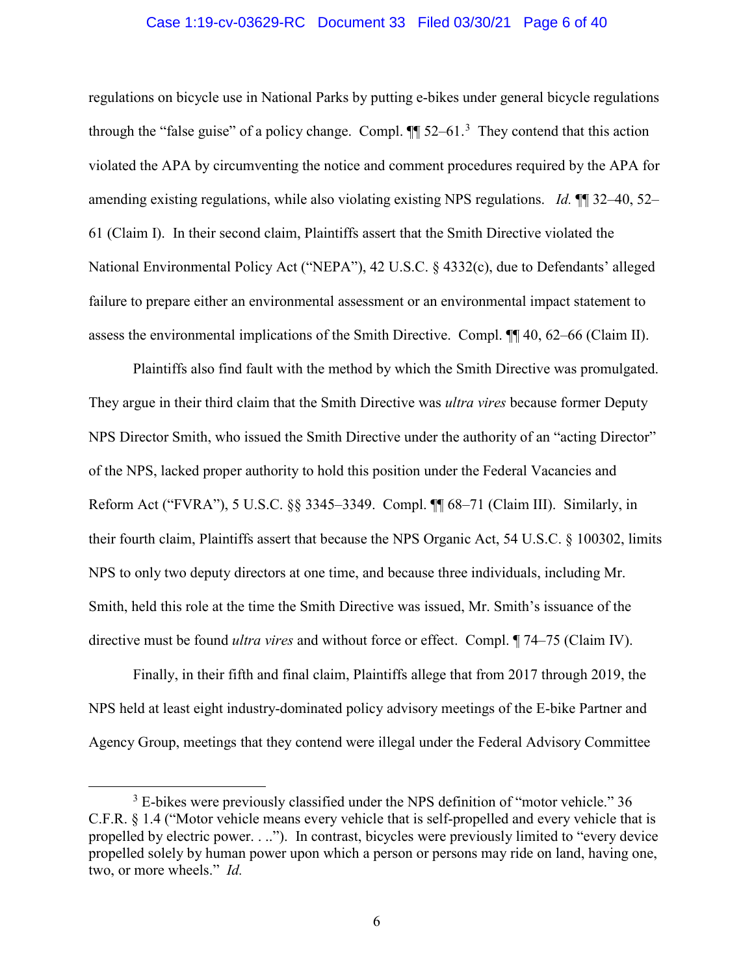#### Case 1:19-cv-03629-RC Document 33 Filed 03/30/21 Page 6 of 40

regulations on bicycle use in National Parks by putting e-bikes under general bicycle regulations through the "false guise" of a policy change. Compl.  $\P$  52–61.<sup>3</sup> They contend that this action violated the APA by circumventing the notice and comment procedures required by the APA for amending existing regulations, while also violating existing NPS regulations. *Id.* ¶¶ 32–40, 52– 61 (Claim I). In their second claim, Plaintiffs assert that the Smith Directive violated the National Environmental Policy Act ("NEPA"), 42 U.S.C. § 4332(c), due to Defendants' alleged failure to prepare either an environmental assessment or an environmental impact statement to assess the environmental implications of the Smith Directive. Compl. ¶¶ 40, 62–66 (Claim II).

Plaintiffs also find fault with the method by which the Smith Directive was promulgated. They argue in their third claim that the Smith Directive was *ultra vires* because former Deputy NPS Director Smith, who issued the Smith Directive under the authority of an "acting Director" of the NPS, lacked proper authority to hold this position under the Federal Vacancies and Reform Act ("FVRA"), 5 U.S.C. §§ 3345–3349. Compl. ¶¶ 68–71 (Claim III). Similarly, in their fourth claim, Plaintiffs assert that because the NPS Organic Act, 54 U.S.C. § 100302, limits NPS to only two deputy directors at one time, and because three individuals, including Mr. Smith, held this role at the time the Smith Directive was issued, Mr. Smith's issuance of the directive must be found *ultra vires* and without force or effect. Compl. ¶ 74–75 (Claim IV).

Finally, in their fifth and final claim, Plaintiffs allege that from 2017 through 2019, the NPS held at least eight industry-dominated policy advisory meetings of the E-bike Partner and Agency Group, meetings that they contend were illegal under the Federal Advisory Committee

 $\frac{1}{3}$ <sup>3</sup> E-bikes were previously classified under the NPS definition of "motor vehicle." 36 C.F.R. § 1.4 ("Motor vehicle means every vehicle that is self-propelled and every vehicle that is propelled by electric power. . .."). In contrast, bicycles were previously limited to "every device propelled solely by human power upon which a person or persons may ride on land, having one, two, or more wheels." *Id.*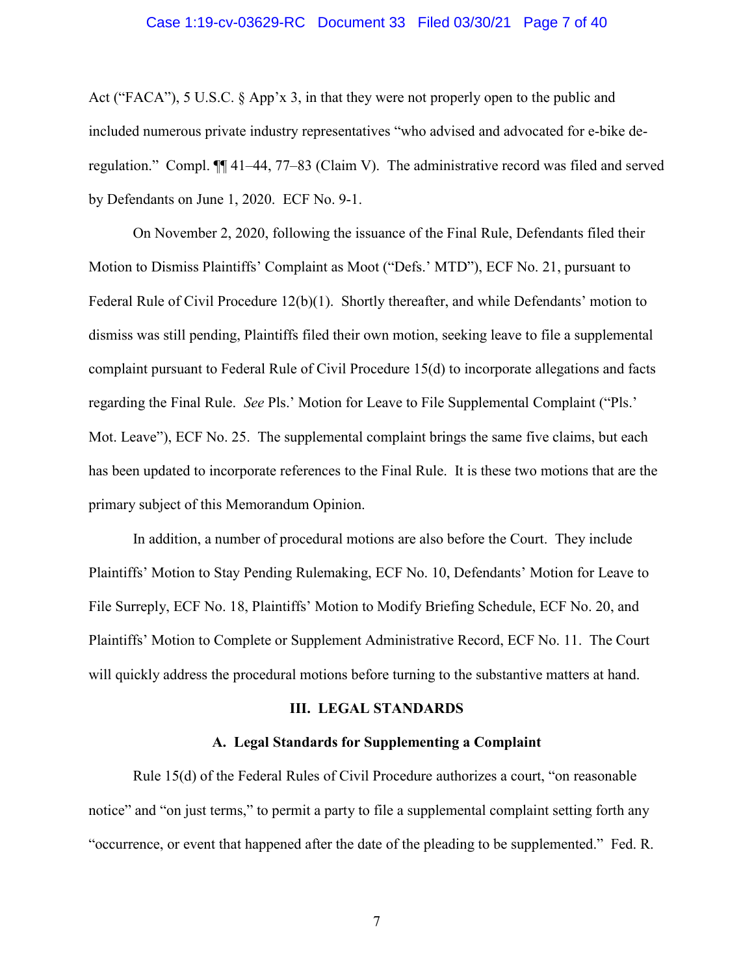#### Case 1:19-cv-03629-RC Document 33 Filed 03/30/21 Page 7 of 40

Act ("FACA"), 5 U.S.C. § App'x 3, in that they were not properly open to the public and included numerous private industry representatives "who advised and advocated for e-bike deregulation." Compl. ¶¶ 41–44, 77–83 (Claim V). The administrative record was filed and served by Defendants on June 1, 2020. ECF No. 9-1.

On November 2, 2020, following the issuance of the Final Rule, Defendants filed their Motion to Dismiss Plaintiffs' Complaint as Moot ("Defs.' MTD"), ECF No. 21, pursuant to Federal Rule of Civil Procedure 12(b)(1). Shortly thereafter, and while Defendants' motion to dismiss was still pending, Plaintiffs filed their own motion, seeking leave to file a supplemental complaint pursuant to Federal Rule of Civil Procedure 15(d) to incorporate allegations and facts regarding the Final Rule. *See* Pls.' Motion for Leave to File Supplemental Complaint ("Pls.' Mot. Leave"), ECF No. 25. The supplemental complaint brings the same five claims, but each has been updated to incorporate references to the Final Rule. It is these two motions that are the primary subject of this Memorandum Opinion.

In addition, a number of procedural motions are also before the Court. They include Plaintiffs' Motion to Stay Pending Rulemaking, ECF No. 10, Defendants' Motion for Leave to File Surreply, ECF No. 18, Plaintiffs' Motion to Modify Briefing Schedule, ECF No. 20, and Plaintiffs' Motion to Complete or Supplement Administrative Record, ECF No. 11. The Court will quickly address the procedural motions before turning to the substantive matters at hand.

#### **III. LEGAL STANDARDS**

#### **A. Legal Standards for Supplementing a Complaint**

Rule 15(d) of the Federal Rules of Civil Procedure authorizes a court, "on reasonable notice" and "on just terms," to permit a party to file a supplemental complaint setting forth any "occurrence, or event that happened after the date of the pleading to be supplemented." Fed. R.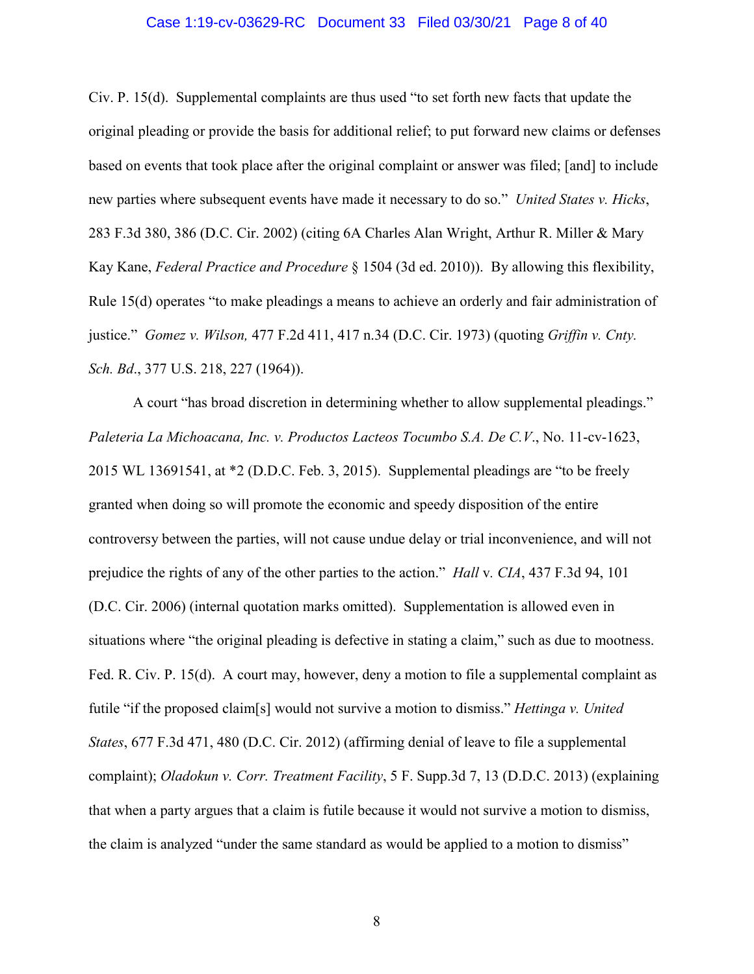#### Case 1:19-cv-03629-RC Document 33 Filed 03/30/21 Page 8 of 40

Civ. P. 15(d). Supplemental complaints are thus used "to set forth new facts that update the original pleading or provide the basis for additional relief; to put forward new claims or defenses based on events that took place after the original complaint or answer was filed; [and] to include new parties where subsequent events have made it necessary to do so." *United States v. Hicks*, 283 F.3d 380, 386 (D.C. Cir. 2002) (citing 6A Charles Alan Wright, Arthur R. Miller & Mary Kay Kane, *Federal Practice and Procedure* § 1504 (3d ed. 2010)). By allowing this flexibility, Rule 15(d) operates "to make pleadings a means to achieve an orderly and fair administration of justice." *Gomez v. Wilson,* 477 F.2d 411, 417 n.34 (D.C. Cir. 1973) (quoting *Griffin v. Cnty. Sch. Bd*., 377 U.S. 218, 227 (1964)).

A court "has broad discretion in determining whether to allow supplemental pleadings." *Paleteria La Michoacana, Inc. v. Productos Lacteos Tocumbo S.A. De C.V*., No. 11-cv-1623, 2015 WL 13691541, at \*2 (D.D.C. Feb. 3, 2015). Supplemental pleadings are "to be freely granted when doing so will promote the economic and speedy disposition of the entire controversy between the parties, will not cause undue delay or trial inconvenience, and will not prejudice the rights of any of the other parties to the action." *Hall* v*. CIA*, 437 F.3d 94, 101 (D.C. Cir. 2006) (internal quotation marks omitted). Supplementation is allowed even in situations where "the original pleading is defective in stating a claim," such as due to mootness. Fed. R. Civ. P. 15(d). A court may, however, deny a motion to file a supplemental complaint as futile "if the proposed claim[s] would not survive a motion to dismiss." *Hettinga v. United States*, 677 F.3d 471, 480 (D.C. Cir. 2012) (affirming denial of leave to file a supplemental complaint); *Oladokun v. Corr. Treatment Facility*, 5 F. Supp.3d 7, 13 (D.D.C. 2013) (explaining that when a party argues that a claim is futile because it would not survive a motion to dismiss, the claim is analyzed "under the same standard as would be applied to a motion to dismiss"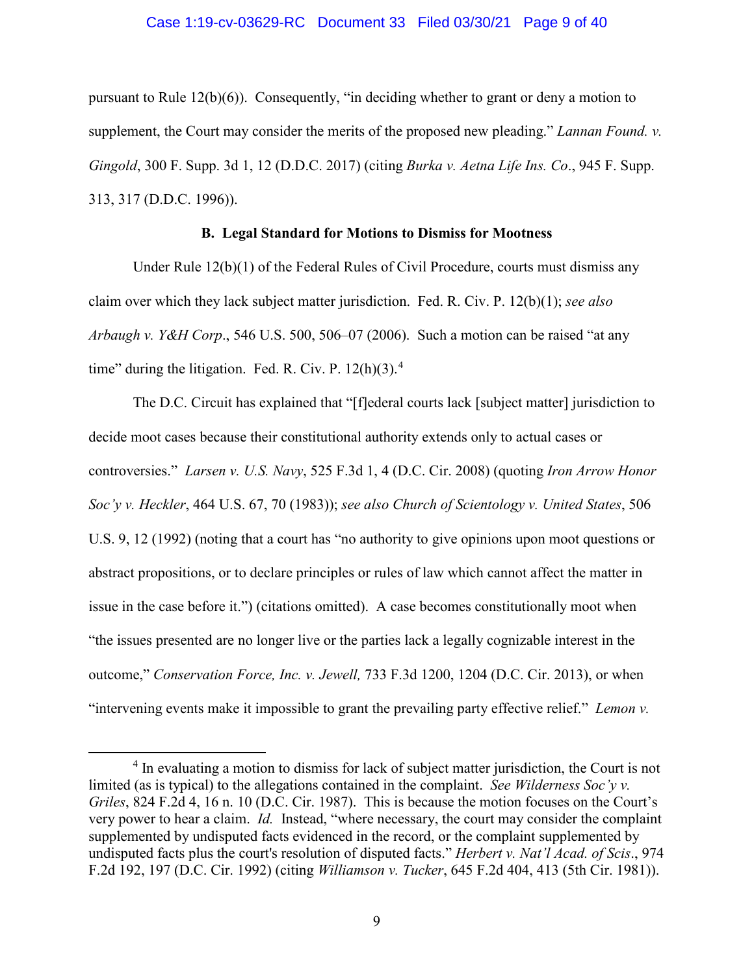#### Case 1:19-cv-03629-RC Document 33 Filed 03/30/21 Page 9 of 40

pursuant to Rule 12(b)(6)). Consequently, "in deciding whether to grant or deny a motion to supplement, the Court may consider the merits of the proposed new pleading." *Lannan Found. v. Gingold*, 300 F. Supp. 3d 1, 12 (D.D.C. 2017) (citing *Burka v. Aetna Life Ins. Co*., 945 F. Supp. 313, 317 (D.D.C. 1996)).

#### **B. Legal Standard for Motions to Dismiss for Mootness**

Under Rule 12(b)(1) of the Federal Rules of Civil Procedure, courts must dismiss any claim over which they lack subject matter jurisdiction. Fed. R. Civ. P. 12(b)(1); *see also Arbaugh v. Y&H Corp*., 546 U.S. 500, 506–07 (2006). Such a motion can be raised "at any time" during the litigation. Fed. R. Civ. P.  $12(h)(3)$ .<sup>4</sup>

The D.C. Circuit has explained that "[f]ederal courts lack [subject matter] jurisdiction to decide moot cases because their constitutional authority extends only to actual cases or controversies." *Larsen v. U.S. Navy*, 525 F.3d 1, 4 (D.C. Cir. 2008) (quoting *Iron Arrow Honor Soc'y v. Heckler*, 464 U.S. 67, 70 (1983)); *see also Church of Scientology v. United States*, 506 U.S. 9, 12 (1992) (noting that a court has "no authority to give opinions upon moot questions or abstract propositions, or to declare principles or rules of law which cannot affect the matter in issue in the case before it.") (citations omitted). A case becomes constitutionally moot when "the issues presented are no longer live or the parties lack a legally cognizable interest in the outcome," *Conservation Force, Inc. v. Jewell,* 733 F.3d 1200, 1204 (D.C. Cir. 2013), or when "intervening events make it impossible to grant the prevailing party effective relief." *Lemon v.* 

<sup>&</sup>lt;sup>4</sup> In evaluating a motion to dismiss for lack of subject matter jurisdiction, the Court is not limited (as is typical) to the allegations contained in the complaint. *See Wilderness Soc'y v. Griles*, 824 F.2d 4, 16 n. 10 (D.C. Cir. 1987). This is because the motion focuses on the Court's very power to hear a claim. *Id.* Instead, "where necessary, the court may consider the complaint supplemented by undisputed facts evidenced in the record, or the complaint supplemented by undisputed facts plus the court's resolution of disputed facts." *Herbert v. Nat'l Acad. of Scis*., 974 F.2d 192, 197 (D.C. Cir. 1992) (citing *Williamson v. Tucker*, 645 F.2d 404, 413 (5th Cir. 1981)).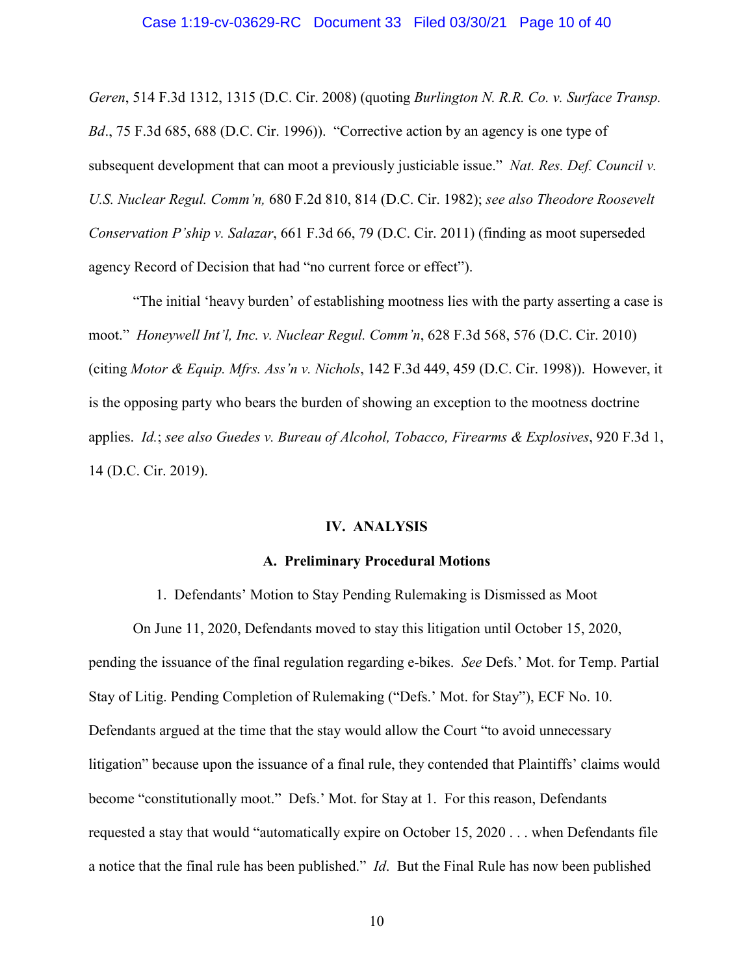#### Case 1:19-cv-03629-RC Document 33 Filed 03/30/21 Page 10 of 40

*Geren*, 514 F.3d 1312, 1315 (D.C. Cir. 2008) (quoting *Burlington N. R.R. Co. v. Surface Transp. Bd*., 75 F.3d 685, 688 (D.C. Cir. 1996)). "Corrective action by an agency is one type of subsequent development that can moot a previously justiciable issue." *Nat. Res. Def. Council v. U.S. Nuclear Regul. Comm'n,* 680 F.2d 810, 814 (D.C. Cir. 1982); *see also Theodore Roosevelt Conservation P'ship v. Salazar*, 661 F.3d 66, 79 (D.C. Cir. 2011) (finding as moot superseded agency Record of Decision that had "no current force or effect").

"The initial 'heavy burden' of establishing mootness lies with the party asserting a case is moot." *Honeywell Int'l, Inc. v. Nuclear Regul. Comm'n*, 628 F.3d 568, 576 (D.C. Cir. 2010) (citing *Motor & Equip. Mfrs. Ass'n v. Nichols*, 142 F.3d 449, 459 (D.C. Cir. 1998)). However, it is the opposing party who bears the burden of showing an exception to the mootness doctrine applies. *Id.*; *see also Guedes v. Bureau of Alcohol, Tobacco, Firearms & Explosives*, 920 F.3d 1, 14 (D.C. Cir. 2019).

#### **IV. ANALYSIS**

#### **A. Preliminary Procedural Motions**

1. Defendants' Motion to Stay Pending Rulemaking is Dismissed as Moot

On June 11, 2020, Defendants moved to stay this litigation until October 15, 2020, pending the issuance of the final regulation regarding e-bikes. *See* Defs.' Mot. for Temp. Partial Stay of Litig. Pending Completion of Rulemaking ("Defs.' Mot. for Stay"), ECF No. 10. Defendants argued at the time that the stay would allow the Court "to avoid unnecessary litigation" because upon the issuance of a final rule, they contended that Plaintiffs' claims would become "constitutionally moot." Defs.' Mot. for Stay at 1. For this reason, Defendants requested a stay that would "automatically expire on October 15, 2020 . . . when Defendants file a notice that the final rule has been published." *Id*. But the Final Rule has now been published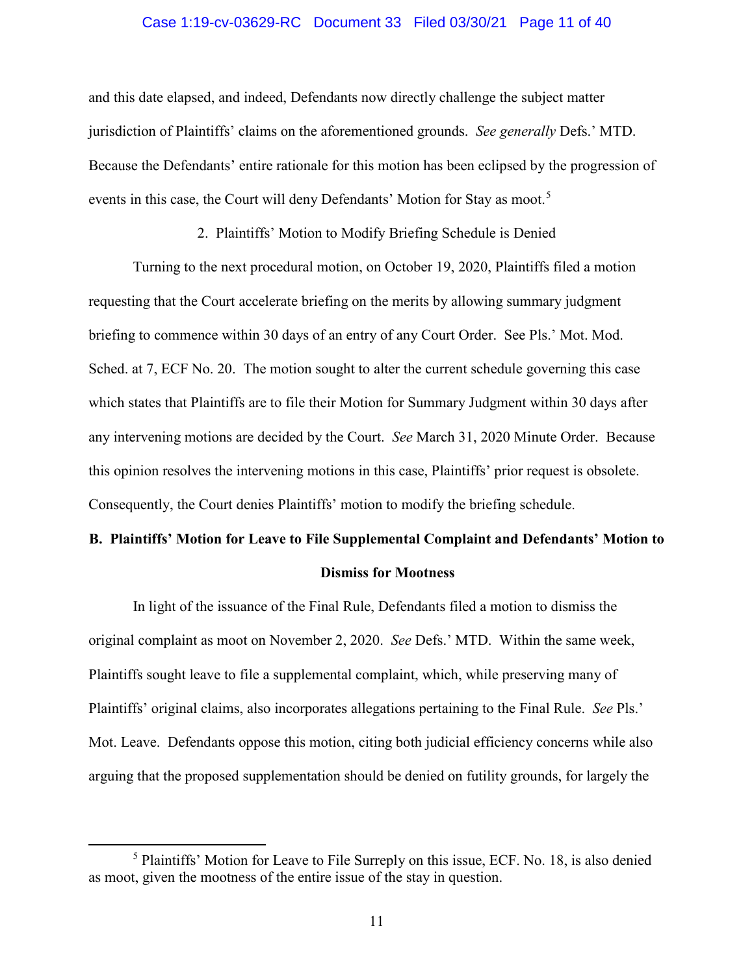#### Case 1:19-cv-03629-RC Document 33 Filed 03/30/21 Page 11 of 40

and this date elapsed, and indeed, Defendants now directly challenge the subject matter jurisdiction of Plaintiffs' claims on the aforementioned grounds. *See generally* Defs.' MTD. Because the Defendants' entire rationale for this motion has been eclipsed by the progression of events in this case, the Court will deny Defendants' Motion for Stay as moot.<sup>5</sup>

2. Plaintiffs' Motion to Modify Briefing Schedule is Denied

Turning to the next procedural motion, on October 19, 2020, Plaintiffs filed a motion requesting that the Court accelerate briefing on the merits by allowing summary judgment briefing to commence within 30 days of an entry of any Court Order. See Pls.' Mot. Mod. Sched. at 7, ECF No. 20. The motion sought to alter the current schedule governing this case which states that Plaintiffs are to file their Motion for Summary Judgment within 30 days after any intervening motions are decided by the Court. *See* March 31, 2020 Minute Order. Because this opinion resolves the intervening motions in this case, Plaintiffs' prior request is obsolete. Consequently, the Court denies Plaintiffs' motion to modify the briefing schedule.

# **B. Plaintiffs' Motion for Leave to File Supplemental Complaint and Defendants' Motion to Dismiss for Mootness**

In light of the issuance of the Final Rule, Defendants filed a motion to dismiss the original complaint as moot on November 2, 2020. *See* Defs.' MTD. Within the same week, Plaintiffs sought leave to file a supplemental complaint, which, while preserving many of Plaintiffs' original claims, also incorporates allegations pertaining to the Final Rule. *See* Pls.' Mot. Leave. Defendants oppose this motion, citing both judicial efficiency concerns while also arguing that the proposed supplementation should be denied on futility grounds, for largely the

 <sup>5</sup> Plaintiffs' Motion for Leave to File Surreply on this issue, ECF. No. 18, is also denied as moot, given the mootness of the entire issue of the stay in question.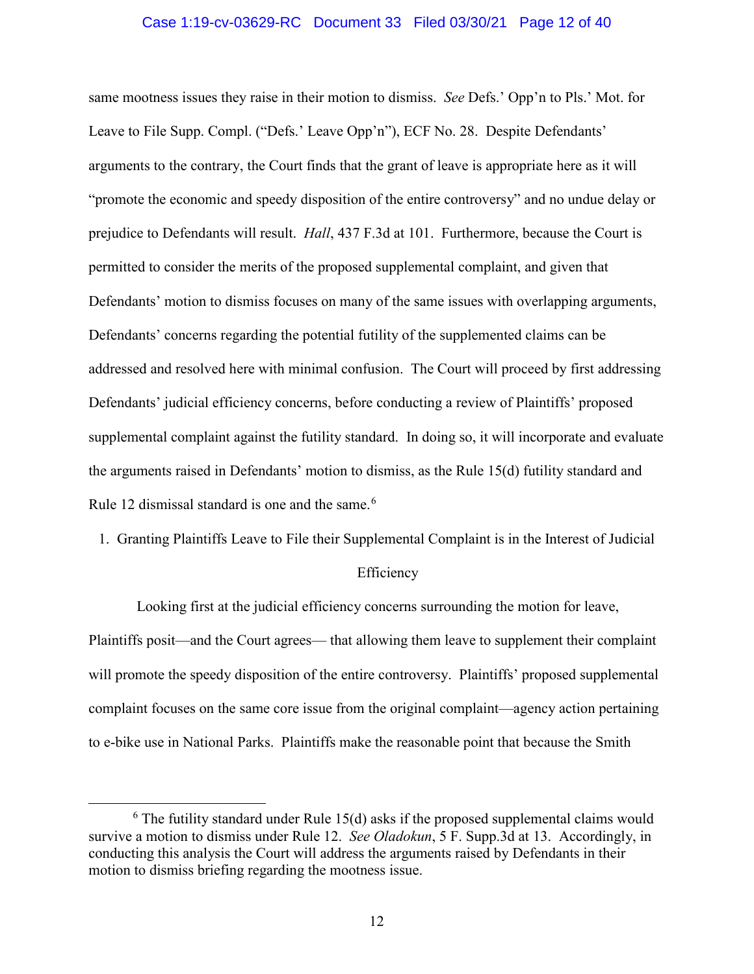#### Case 1:19-cv-03629-RC Document 33 Filed 03/30/21 Page 12 of 40

same mootness issues they raise in their motion to dismiss. *See* Defs.' Opp'n to Pls.' Mot. for Leave to File Supp. Compl. ("Defs.' Leave Opp'n"), ECF No. 28. Despite Defendants' arguments to the contrary, the Court finds that the grant of leave is appropriate here as it will "promote the economic and speedy disposition of the entire controversy" and no undue delay or prejudice to Defendants will result. *Hall*, 437 F.3d at 101. Furthermore, because the Court is permitted to consider the merits of the proposed supplemental complaint, and given that Defendants' motion to dismiss focuses on many of the same issues with overlapping arguments, Defendants' concerns regarding the potential futility of the supplemented claims can be addressed and resolved here with minimal confusion. The Court will proceed by first addressing Defendants' judicial efficiency concerns, before conducting a review of Plaintiffs' proposed supplemental complaint against the futility standard. In doing so, it will incorporate and evaluate the arguments raised in Defendants' motion to dismiss, as the Rule 15(d) futility standard and Rule 12 dismissal standard is one and the same.<sup>6</sup>

1. Granting Plaintiffs Leave to File their Supplemental Complaint is in the Interest of Judicial

#### Efficiency

Looking first at the judicial efficiency concerns surrounding the motion for leave, Plaintiffs posit—and the Court agrees— that allowing them leave to supplement their complaint will promote the speedy disposition of the entire controversy. Plaintiffs' proposed supplemental complaint focuses on the same core issue from the original complaint—agency action pertaining to e-bike use in National Parks. Plaintiffs make the reasonable point that because the Smith

 $6$  The futility standard under Rule 15(d) asks if the proposed supplemental claims would survive a motion to dismiss under Rule 12. *See Oladokun*, 5 F. Supp.3d at 13. Accordingly, in conducting this analysis the Court will address the arguments raised by Defendants in their motion to dismiss briefing regarding the mootness issue.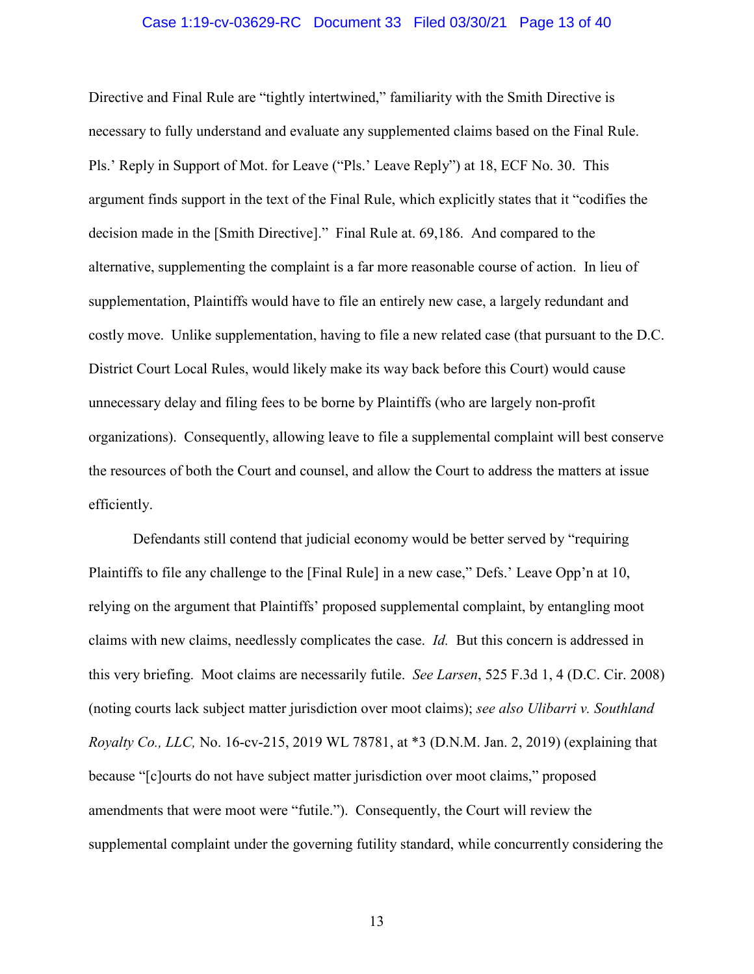#### Case 1:19-cv-03629-RC Document 33 Filed 03/30/21 Page 13 of 40

Directive and Final Rule are "tightly intertwined," familiarity with the Smith Directive is necessary to fully understand and evaluate any supplemented claims based on the Final Rule. Pls.' Reply in Support of Mot. for Leave ("Pls.' Leave Reply") at 18, ECF No. 30. This argument finds support in the text of the Final Rule, which explicitly states that it "codifies the decision made in the [Smith Directive]." Final Rule at. 69,186. And compared to the alternative, supplementing the complaint is a far more reasonable course of action. In lieu of supplementation, Plaintiffs would have to file an entirely new case, a largely redundant and costly move. Unlike supplementation, having to file a new related case (that pursuant to the D.C. District Court Local Rules, would likely make its way back before this Court) would cause unnecessary delay and filing fees to be borne by Plaintiffs (who are largely non-profit organizations). Consequently, allowing leave to file a supplemental complaint will best conserve the resources of both the Court and counsel, and allow the Court to address the matters at issue efficiently.

Defendants still contend that judicial economy would be better served by "requiring Plaintiffs to file any challenge to the [Final Rule] in a new case," Defs.' Leave Opp'n at 10, relying on the argument that Plaintiffs' proposed supplemental complaint, by entangling moot claims with new claims, needlessly complicates the case. *Id.* But this concern is addressed in this very briefing. Moot claims are necessarily futile. *See Larsen*, 525 F.3d 1, 4 (D.C. Cir. 2008) (noting courts lack subject matter jurisdiction over moot claims); *see also Ulibarri v. Southland Royalty Co., LLC,* No. 16-cv-215, 2019 WL 78781, at \*3 (D.N.M. Jan. 2, 2019) (explaining that because "[c]ourts do not have subject matter jurisdiction over moot claims," proposed amendments that were moot were "futile."). Consequently, the Court will review the supplemental complaint under the governing futility standard, while concurrently considering the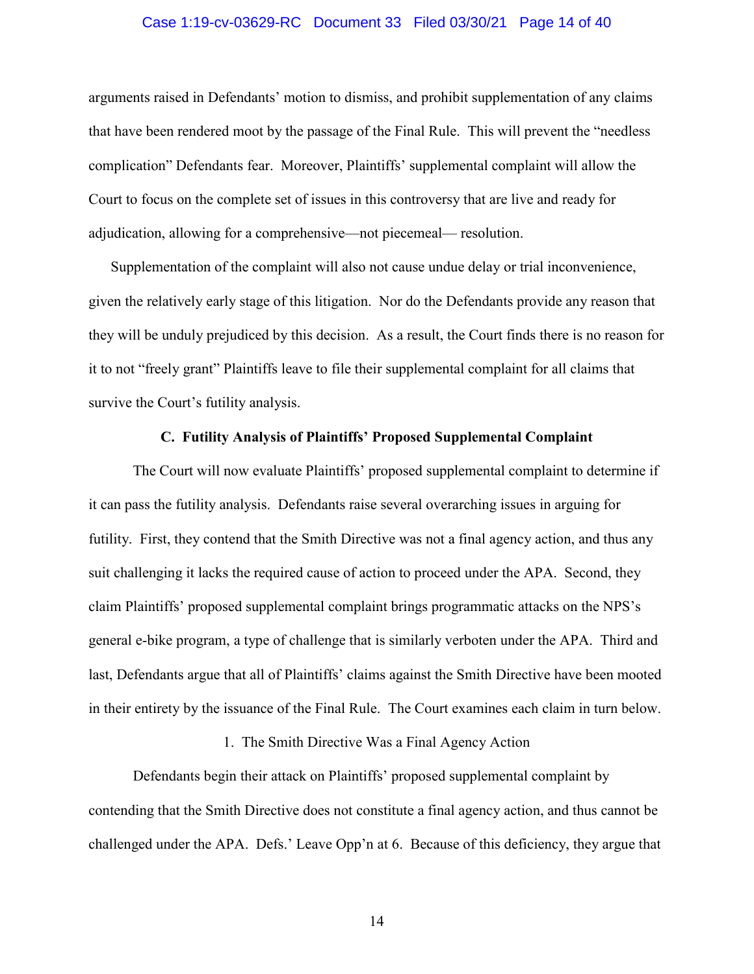#### Case 1:19-cv-03629-RC Document 33 Filed 03/30/21 Page 14 of 40

arguments raised in Defendants' motion to dismiss, and prohibit supplementation of any claims that have been rendered moot by the passage of the Final Rule. This will prevent the "needless complication" Defendants fear. Moreover, Plaintiffs' supplemental complaint will allow the Court to focus on the complete set of issues in this controversy that are live and ready for adjudication, allowing for a comprehensive—not piecemeal— resolution.

Supplementation of the complaint will also not cause undue delay or trial inconvenience, given the relatively early stage of this litigation. Nor do the Defendants provide any reason that they will be unduly prejudiced by this decision. As a result, the Court finds there is no reason for it to not "freely grant" Plaintiffs leave to file their supplemental complaint for all claims that survive the Court's futility analysis.

#### **C. Futility Analysis of Plaintiffs' Proposed Supplemental Complaint**

The Court will now evaluate Plaintiffs' proposed supplemental complaint to determine if it can pass the futility analysis. Defendants raise several overarching issues in arguing for futility. First, they contend that the Smith Directive was not a final agency action, and thus any suit challenging it lacks the required cause of action to proceed under the APA. Second, they claim Plaintiffs' proposed supplemental complaint brings programmatic attacks on the NPS's general e-bike program, a type of challenge that is similarly verboten under the APA. Third and last, Defendants argue that all of Plaintiffs' claims against the Smith Directive have been mooted in their entirety by the issuance of the Final Rule. The Court examines each claim in turn below.

1. The Smith Directive Was a Final Agency Action

Defendants begin their attack on Plaintiffs' proposed supplemental complaint by contending that the Smith Directive does not constitute a final agency action, and thus cannot be challenged under the APA. Defs.' Leave Opp'n at 6. Because of this deficiency, they argue that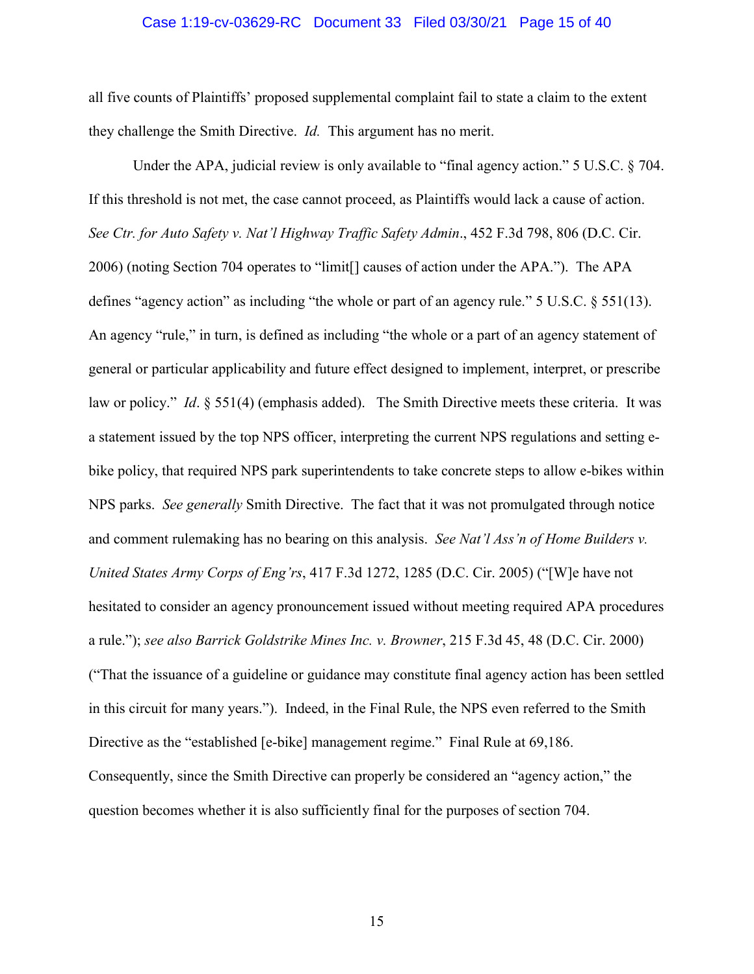#### Case 1:19-cv-03629-RC Document 33 Filed 03/30/21 Page 15 of 40

all five counts of Plaintiffs' proposed supplemental complaint fail to state a claim to the extent they challenge the Smith Directive. *Id.* This argument has no merit.

Under the APA, judicial review is only available to "final agency action." 5 U.S.C. § 704. If this threshold is not met, the case cannot proceed, as Plaintiffs would lack a cause of action. *See Ctr. for Auto Safety v. Nat'l Highway Traffic Safety Admin*., 452 F.3d 798, 806 (D.C. Cir. 2006) (noting Section 704 operates to "limit[] causes of action under the APA."). The APA defines "agency action" as including "the whole or part of an agency rule." 5 U.S.C. § 551(13). An agency "rule," in turn, is defined as including "the whole or a part of an agency statement of general or particular applicability and future effect designed to implement, interpret, or prescribe law or policy." *Id*. § 551(4) (emphasis added). The Smith Directive meets these criteria. It was a statement issued by the top NPS officer, interpreting the current NPS regulations and setting ebike policy, that required NPS park superintendents to take concrete steps to allow e-bikes within NPS parks. *See generally* Smith Directive. The fact that it was not promulgated through notice and comment rulemaking has no bearing on this analysis. *See Nat'l Ass'n of Home Builders v. United States Army Corps of Eng'rs*, 417 F.3d 1272, 1285 (D.C. Cir. 2005) ("[W]e have not hesitated to consider an agency pronouncement issued without meeting required APA procedures a rule."); *see also Barrick Goldstrike Mines Inc. v. Browner*, 215 F.3d 45, 48 (D.C. Cir. 2000) ("That the issuance of a guideline or guidance may constitute final agency action has been settled in this circuit for many years."). Indeed, in the Final Rule, the NPS even referred to the Smith Directive as the "established [e-bike] management regime." Final Rule at 69,186. Consequently, since the Smith Directive can properly be considered an "agency action," the question becomes whether it is also sufficiently final for the purposes of section 704.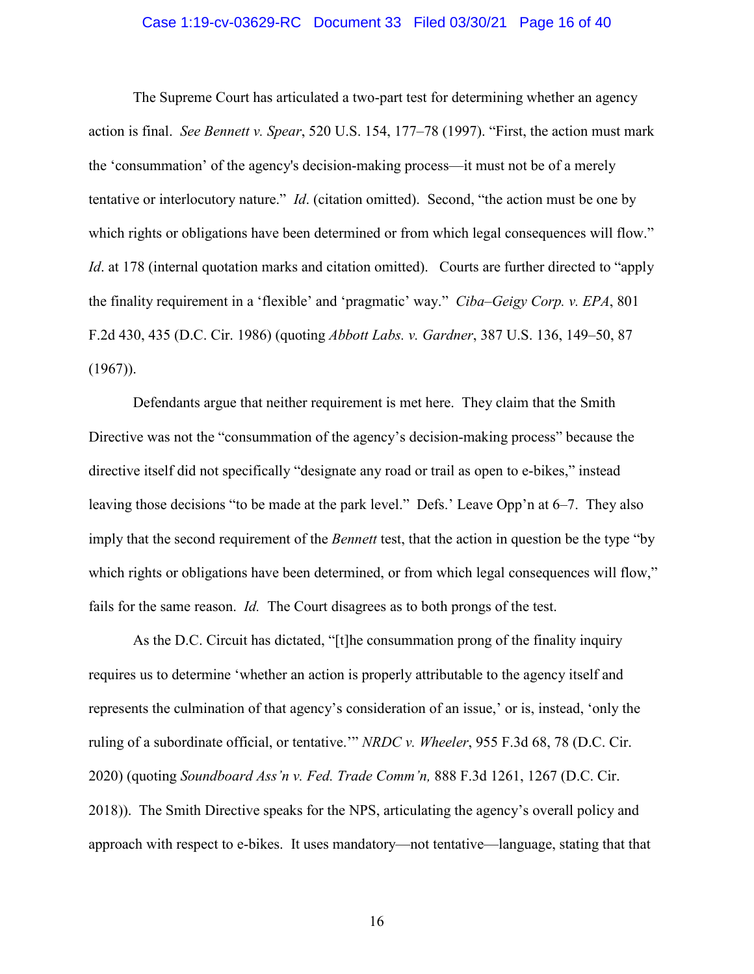#### Case 1:19-cv-03629-RC Document 33 Filed 03/30/21 Page 16 of 40

The Supreme Court has articulated a two-part test for determining whether an agency action is final. *See Bennett v. Spear*, 520 U.S. 154, 177–78 (1997). "First, the action must mark the 'consummation' of the agency's decision-making process—it must not be of a merely tentative or interlocutory nature." *Id*. (citation omitted). Second, "the action must be one by which rights or obligations have been determined or from which legal consequences will flow." *Id.* at 178 (internal quotation marks and citation omitted). Courts are further directed to "apply the finality requirement in a 'flexible' and 'pragmatic' way." *Ciba–Geigy Corp. v. EPA*, 801 F.2d 430, 435 (D.C. Cir. 1986) (quoting *Abbott Labs. v. Gardner*, 387 U.S. 136, 149–50, 87  $(1967)$ ).

Defendants argue that neither requirement is met here. They claim that the Smith Directive was not the "consummation of the agency's decision-making process" because the directive itself did not specifically "designate any road or trail as open to e-bikes," instead leaving those decisions "to be made at the park level." Defs.' Leave Opp'n at 6*–*7. They also imply that the second requirement of the *Bennett* test, that the action in question be the type "by which rights or obligations have been determined, or from which legal consequences will flow," fails for the same reason. *Id.* The Court disagrees as to both prongs of the test.

As the D.C. Circuit has dictated, "[t]he consummation prong of the finality inquiry requires us to determine 'whether an action is properly attributable to the agency itself and represents the culmination of that agency's consideration of an issue,' or is, instead, 'only the ruling of a subordinate official, or tentative.'" *NRDC v. Wheeler*, 955 F.3d 68, 78 (D.C. Cir. 2020) (quoting *Soundboard Ass'n v. Fed. Trade Comm'n,* 888 F.3d 1261, 1267 (D.C. Cir. 2018)). The Smith Directive speaks for the NPS, articulating the agency's overall policy and approach with respect to e-bikes. It uses mandatory—not tentative—language, stating that that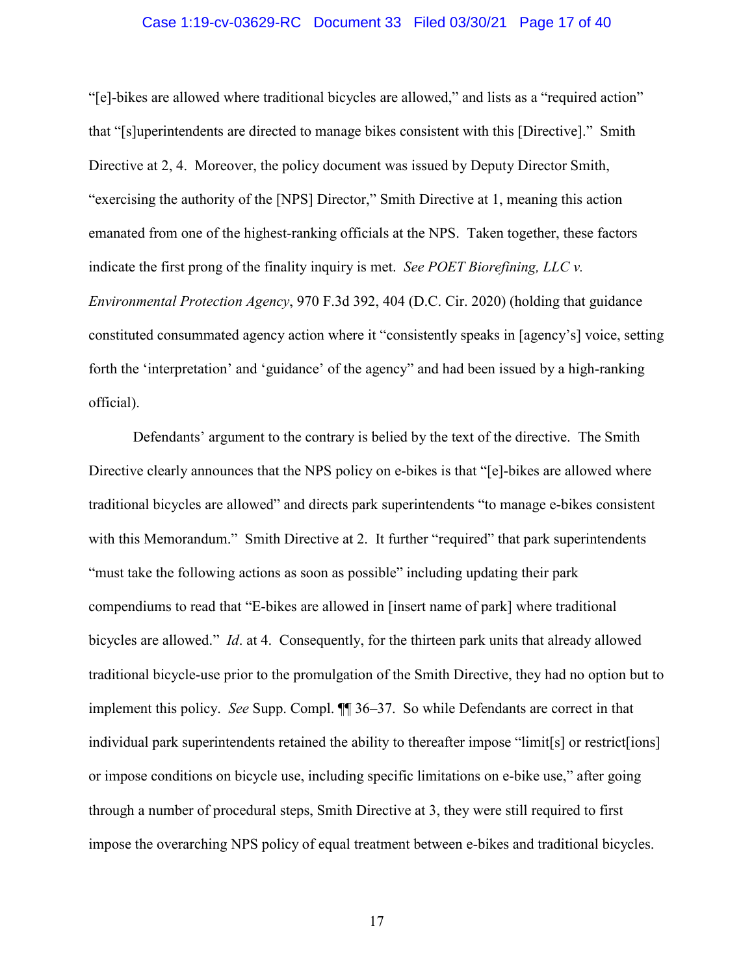#### Case 1:19-cv-03629-RC Document 33 Filed 03/30/21 Page 17 of 40

"[e]-bikes are allowed where traditional bicycles are allowed," and lists as a "required action" that "[s]uperintendents are directed to manage bikes consistent with this [Directive]." Smith Directive at 2, 4. Moreover, the policy document was issued by Deputy Director Smith, "exercising the authority of the [NPS] Director," Smith Directive at 1, meaning this action emanated from one of the highest-ranking officials at the NPS. Taken together, these factors indicate the first prong of the finality inquiry is met. *See POET Biorefining, LLC v. Environmental Protection Agency*, 970 F.3d 392, 404 (D.C. Cir. 2020) (holding that guidance constituted consummated agency action where it "consistently speaks in [agency's] voice, setting forth the 'interpretation' and 'guidance' of the agency" and had been issued by a high-ranking official).

Defendants' argument to the contrary is belied by the text of the directive. The Smith Directive clearly announces that the NPS policy on e-bikes is that "[e]-bikes are allowed where traditional bicycles are allowed" and directs park superintendents "to manage e-bikes consistent with this Memorandum." Smith Directive at 2. It further "required" that park superintendents "must take the following actions as soon as possible" including updating their park compendiums to read that "E-bikes are allowed in [insert name of park] where traditional bicycles are allowed." *Id*. at 4. Consequently, for the thirteen park units that already allowed traditional bicycle-use prior to the promulgation of the Smith Directive, they had no option but to implement this policy. *See* Supp. Compl. ¶¶ 36–37. So while Defendants are correct in that individual park superintendents retained the ability to thereafter impose "limit[s] or restrict[ions] or impose conditions on bicycle use, including specific limitations on e-bike use," after going through a number of procedural steps, Smith Directive at 3, they were still required to first impose the overarching NPS policy of equal treatment between e-bikes and traditional bicycles.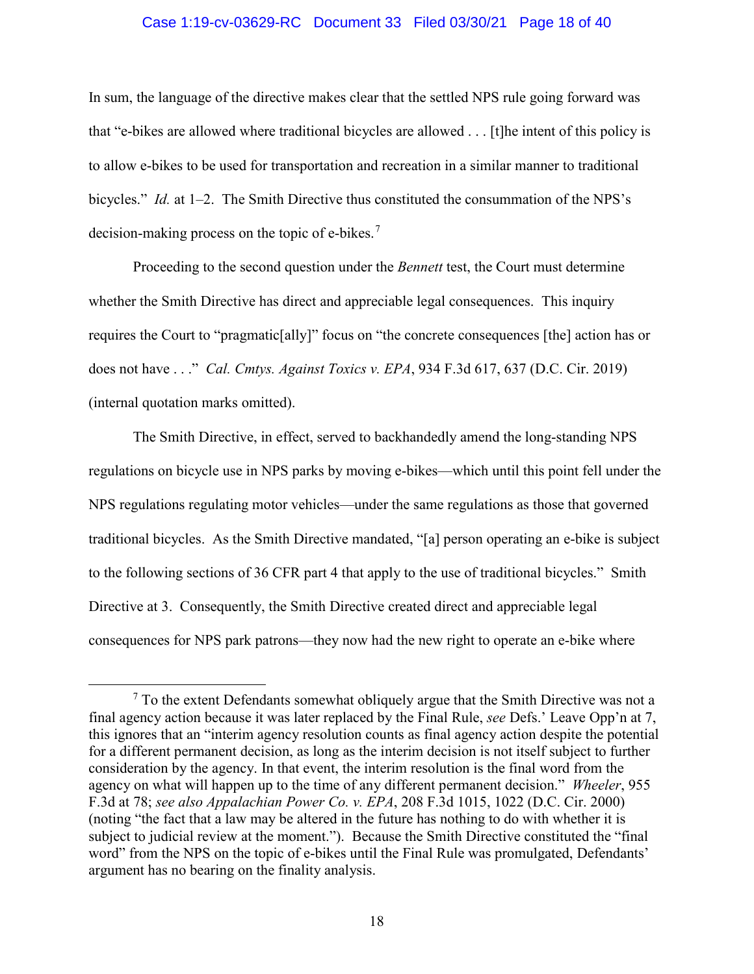#### Case 1:19-cv-03629-RC Document 33 Filed 03/30/21 Page 18 of 40

In sum, the language of the directive makes clear that the settled NPS rule going forward was that "e-bikes are allowed where traditional bicycles are allowed . . . [t]he intent of this policy is to allow e-bikes to be used for transportation and recreation in a similar manner to traditional bicycles." *Id.* at 1–2. The Smith Directive thus constituted the consummation of the NPS's decision-making process on the topic of e-bikes. $7$ 

Proceeding to the second question under the *Bennett* test, the Court must determine whether the Smith Directive has direct and appreciable legal consequences. This inquiry requires the Court to "pragmatic[ally]" focus on "the concrete consequences [the] action has or does not have . . ." *Cal. Cmtys. Against Toxics v. EPA*, 934 F.3d 617, 637 (D.C. Cir. 2019) (internal quotation marks omitted).

The Smith Directive, in effect, served to backhandedly amend the long-standing NPS regulations on bicycle use in NPS parks by moving e-bikes—which until this point fell under the NPS regulations regulating motor vehicles—under the same regulations as those that governed traditional bicycles. As the Smith Directive mandated, "[a] person operating an e-bike is subject to the following sections of 36 CFR part 4 that apply to the use of traditional bicycles." Smith Directive at 3. Consequently, the Smith Directive created direct and appreciable legal consequences for NPS park patrons—they now had the new right to operate an e-bike where

 <sup>7</sup>  $\frac{7}{7}$  To the extent Defendants somewhat obliquely argue that the Smith Directive was not a final agency action because it was later replaced by the Final Rule, *see* Defs.' Leave Opp'n at 7, this ignores that an "interim agency resolution counts as final agency action despite the potential for a different permanent decision, as long as the interim decision is not itself subject to further consideration by the agency. In that event, the interim resolution is the final word from the agency on what will happen up to the time of any different permanent decision." *Wheeler*, 955 F.3d at 78; *see also Appalachian Power Co. v. EPA*, 208 F.3d 1015, 1022 (D.C. Cir. 2000) (noting "the fact that a law may be altered in the future has nothing to do with whether it is subject to judicial review at the moment."). Because the Smith Directive constituted the "final word" from the NPS on the topic of e-bikes until the Final Rule was promulgated, Defendants' argument has no bearing on the finality analysis.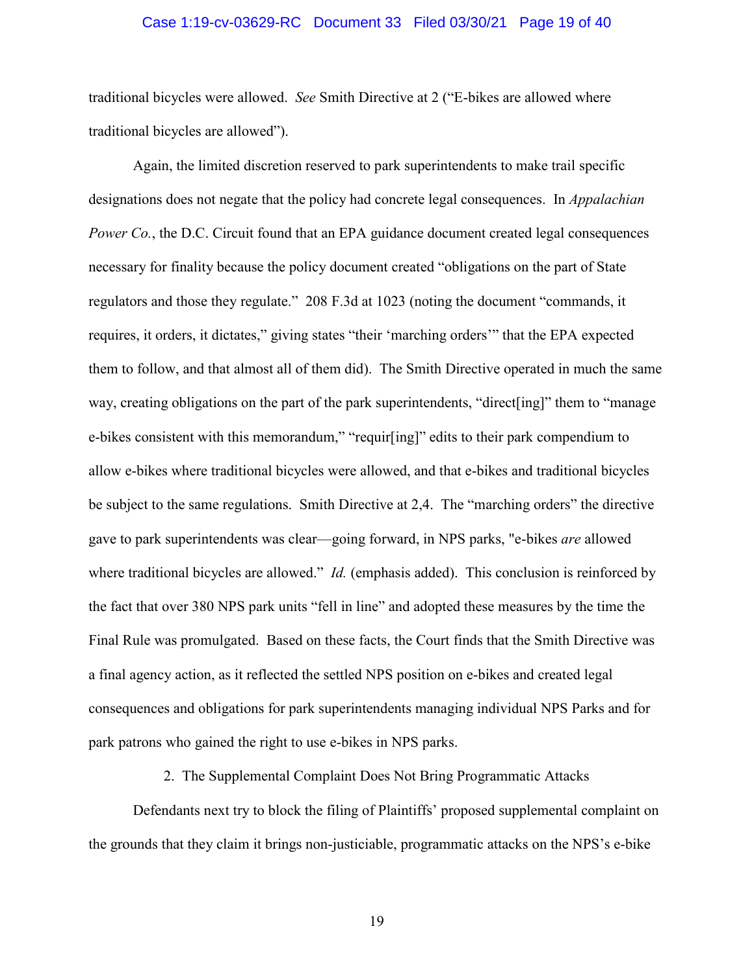#### Case 1:19-cv-03629-RC Document 33 Filed 03/30/21 Page 19 of 40

traditional bicycles were allowed. *See* Smith Directive at 2 ("E-bikes are allowed where traditional bicycles are allowed").

Again, the limited discretion reserved to park superintendents to make trail specific designations does not negate that the policy had concrete legal consequences. In *Appalachian Power Co.*, the D.C. Circuit found that an EPA guidance document created legal consequences necessary for finality because the policy document created "obligations on the part of State regulators and those they regulate." 208 F.3d at 1023 (noting the document "commands, it requires, it orders, it dictates," giving states "their 'marching orders'" that the EPA expected them to follow, and that almost all of them did). The Smith Directive operated in much the same way, creating obligations on the part of the park superintendents, "direct[ing]" them to "manage e-bikes consistent with this memorandum," "requir[ing]" edits to their park compendium to allow e-bikes where traditional bicycles were allowed, and that e-bikes and traditional bicycles be subject to the same regulations. Smith Directive at 2,4. The "marching orders" the directive gave to park superintendents was clear—going forward, in NPS parks, "e-bikes *are* allowed where traditional bicycles are allowed." *Id.* (emphasis added).This conclusion is reinforced by the fact that over 380 NPS park units "fell in line" and adopted these measures by the time the Final Rule was promulgated. Based on these facts, the Court finds that the Smith Directive was a final agency action, as it reflected the settled NPS position on e-bikes and created legal consequences and obligations for park superintendents managing individual NPS Parks and for park patrons who gained the right to use e-bikes in NPS parks.

2. The Supplemental Complaint Does Not Bring Programmatic Attacks

Defendants next try to block the filing of Plaintiffs' proposed supplemental complaint on the grounds that they claim it brings non-justiciable, programmatic attacks on the NPS's e-bike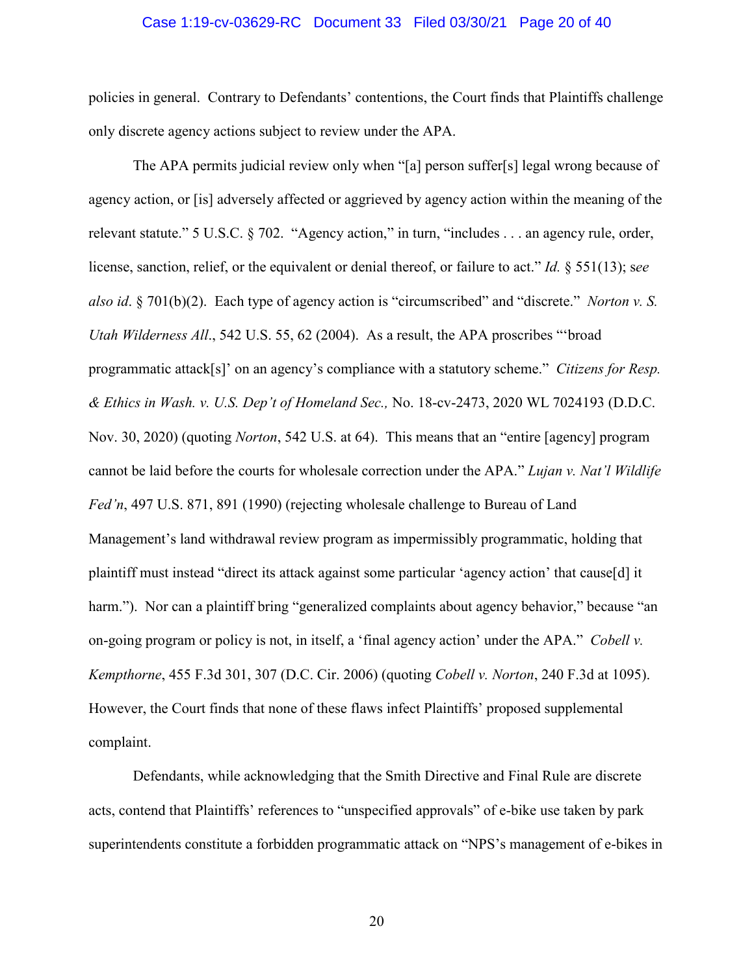#### Case 1:19-cv-03629-RC Document 33 Filed 03/30/21 Page 20 of 40

policies in general. Contrary to Defendants' contentions, the Court finds that Plaintiffs challenge only discrete agency actions subject to review under the APA.

The APA permits judicial review only when "[a] person suffer[s] legal wrong because of agency action, or [is] adversely affected or aggrieved by agency action within the meaning of the relevant statute." 5 U.S.C. § 702. "Agency action," in turn, "includes . . . an agency rule, order, license, sanction, relief, or the equivalent or denial thereof, or failure to act." *Id.* § 551(13); s*ee also id*. § 701(b)(2). Each type of agency action is "circumscribed" and "discrete." *Norton v. S. Utah Wilderness All*., 542 U.S. 55, 62 (2004). As a result, the APA proscribes "'broad programmatic attack[s]' on an agency's compliance with a statutory scheme." *Citizens for Resp. & Ethics in Wash. v. U.S. Dep't of Homeland Sec.,* No. 18-cv-2473, 2020 WL 7024193 (D.D.C. Nov. 30, 2020) (quoting *Norton*, 542 U.S. at 64). This means that an "entire [agency] program cannot be laid before the courts for wholesale correction under the APA." *Lujan v. Nat'l Wildlife Fed'n*, 497 U.S. 871, 891 (1990) (rejecting wholesale challenge to Bureau of Land Management's land withdrawal review program as impermissibly programmatic, holding that plaintiff must instead "direct its attack against some particular 'agency action' that cause[d] it harm."). Nor can a plaintiff bring "generalized complaints about agency behavior," because "an on-going program or policy is not, in itself, a 'final agency action' under the APA." *Cobell v. Kempthorne*, 455 F.3d 301, 307 (D.C. Cir. 2006) (quoting *Cobell v. Norton*, 240 F.3d at 1095). However, the Court finds that none of these flaws infect Plaintiffs' proposed supplemental complaint.

Defendants, while acknowledging that the Smith Directive and Final Rule are discrete acts, contend that Plaintiffs' references to "unspecified approvals" of e-bike use taken by park superintendents constitute a forbidden programmatic attack on "NPS's management of e-bikes in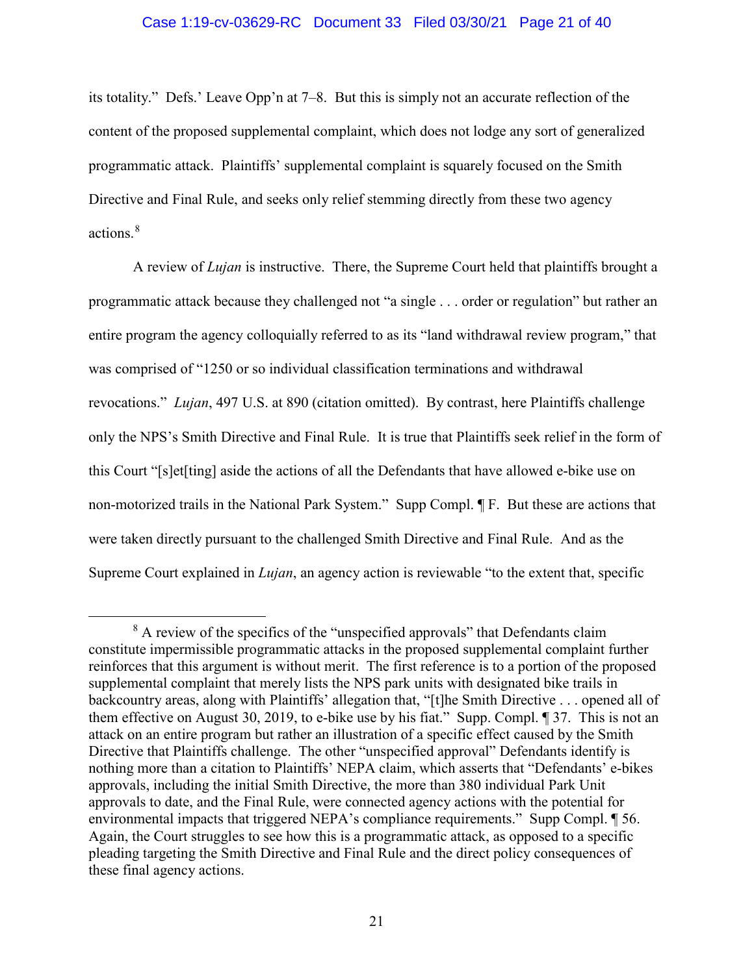#### Case 1:19-cv-03629-RC Document 33 Filed 03/30/21 Page 21 of 40

its totality." Defs.' Leave Opp'n at 7–8. But this is simply not an accurate reflection of the content of the proposed supplemental complaint, which does not lodge any sort of generalized programmatic attack. Plaintiffs' supplemental complaint is squarely focused on the Smith Directive and Final Rule, and seeks only relief stemming directly from these two agency actions.<sup>8</sup>

A review of *Lujan* is instructive. There, the Supreme Court held that plaintiffs brought a programmatic attack because they challenged not "a single . . . order or regulation" but rather an entire program the agency colloquially referred to as its "land withdrawal review program," that was comprised of "1250 or so individual classification terminations and withdrawal revocations." *Lujan*, 497 U.S. at 890 (citation omitted). By contrast, here Plaintiffs challenge only the NPS's Smith Directive and Final Rule. It is true that Plaintiffs seek relief in the form of this Court "[s]et[ting] aside the actions of all the Defendants that have allowed e-bike use on non-motorized trails in the National Park System." Supp Compl. ¶ F. But these are actions that were taken directly pursuant to the challenged Smith Directive and Final Rule. And as the Supreme Court explained in *Lujan*, an agency action is reviewable "to the extent that, specific

<sup>&</sup>lt;sup>8</sup> A review of the specifics of the "unspecified approvals" that Defendants claim constitute impermissible programmatic attacks in the proposed supplemental complaint further reinforces that this argument is without merit. The first reference is to a portion of the proposed supplemental complaint that merely lists the NPS park units with designated bike trails in backcountry areas, along with Plaintiffs' allegation that, "[t]he Smith Directive . . . opened all of them effective on August 30, 2019, to e-bike use by his fiat." Supp. Compl. ¶ 37. This is not an attack on an entire program but rather an illustration of a specific effect caused by the Smith Directive that Plaintiffs challenge. The other "unspecified approval" Defendants identify is nothing more than a citation to Plaintiffs' NEPA claim, which asserts that "Defendants' e-bikes approvals, including the initial Smith Directive, the more than 380 individual Park Unit approvals to date, and the Final Rule, were connected agency actions with the potential for environmental impacts that triggered NEPA's compliance requirements." Supp Compl. ¶ 56. Again, the Court struggles to see how this is a programmatic attack, as opposed to a specific pleading targeting the Smith Directive and Final Rule and the direct policy consequences of these final agency actions.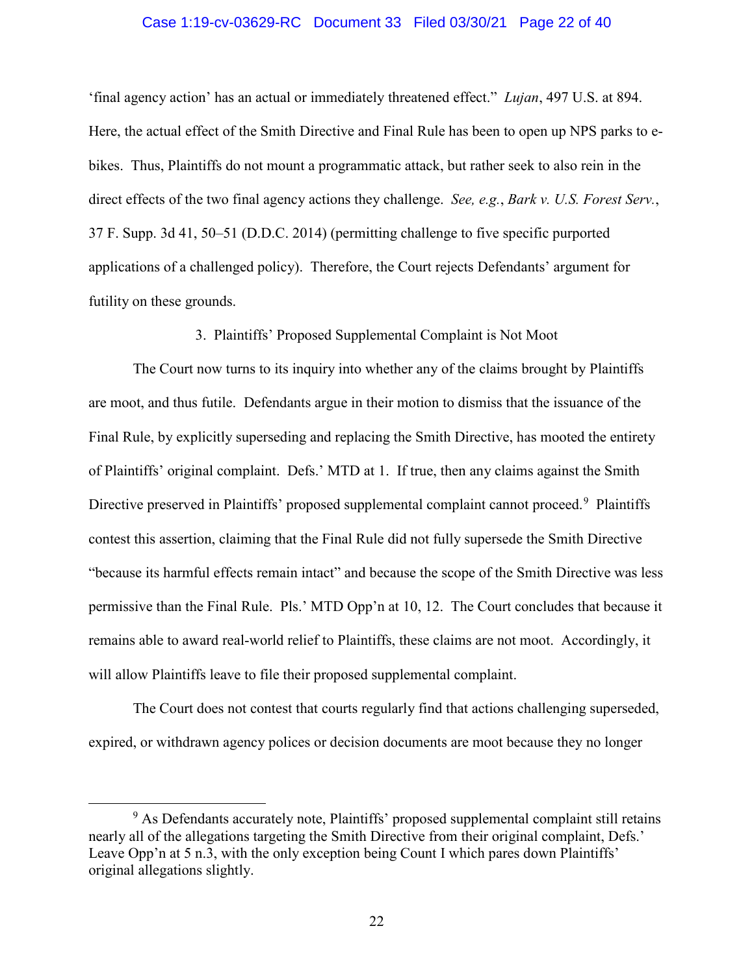#### Case 1:19-cv-03629-RC Document 33 Filed 03/30/21 Page 22 of 40

'final agency action' has an actual or immediately threatened effect." *Lujan*, 497 U.S. at 894. Here, the actual effect of the Smith Directive and Final Rule has been to open up NPS parks to ebikes. Thus, Plaintiffs do not mount a programmatic attack, but rather seek to also rein in the direct effects of the two final agency actions they challenge. *See, e.g.*, *Bark v. U.S. Forest Serv.*, 37 F. Supp. 3d 41, 50–51 (D.D.C. 2014) (permitting challenge to five specific purported applications of a challenged policy). Therefore, the Court rejects Defendants' argument for futility on these grounds.

3. Plaintiffs' Proposed Supplemental Complaint is Not Moot

The Court now turns to its inquiry into whether any of the claims brought by Plaintiffs are moot, and thus futile. Defendants argue in their motion to dismiss that the issuance of the Final Rule, by explicitly superseding and replacing the Smith Directive, has mooted the entirety of Plaintiffs' original complaint. Defs.' MTD at 1. If true, then any claims against the Smith Directive preserved in Plaintiffs' proposed supplemental complaint cannot proceed.<sup>9</sup> Plaintiffs contest this assertion, claiming that the Final Rule did not fully supersede the Smith Directive "because its harmful effects remain intact" and because the scope of the Smith Directive was less permissive than the Final Rule. Pls.' MTD Opp'n at 10, 12. The Court concludes that because it remains able to award real-world relief to Plaintiffs, these claims are not moot. Accordingly, it will allow Plaintiffs leave to file their proposed supplemental complaint.

The Court does not contest that courts regularly find that actions challenging superseded, expired, or withdrawn agency polices or decision documents are moot because they no longer

 <sup>9</sup> <sup>9</sup> As Defendants accurately note, Plaintiffs' proposed supplemental complaint still retains nearly all of the allegations targeting the Smith Directive from their original complaint, Defs.' Leave Opp'n at 5 n.3, with the only exception being Count I which pares down Plaintiffs' original allegations slightly.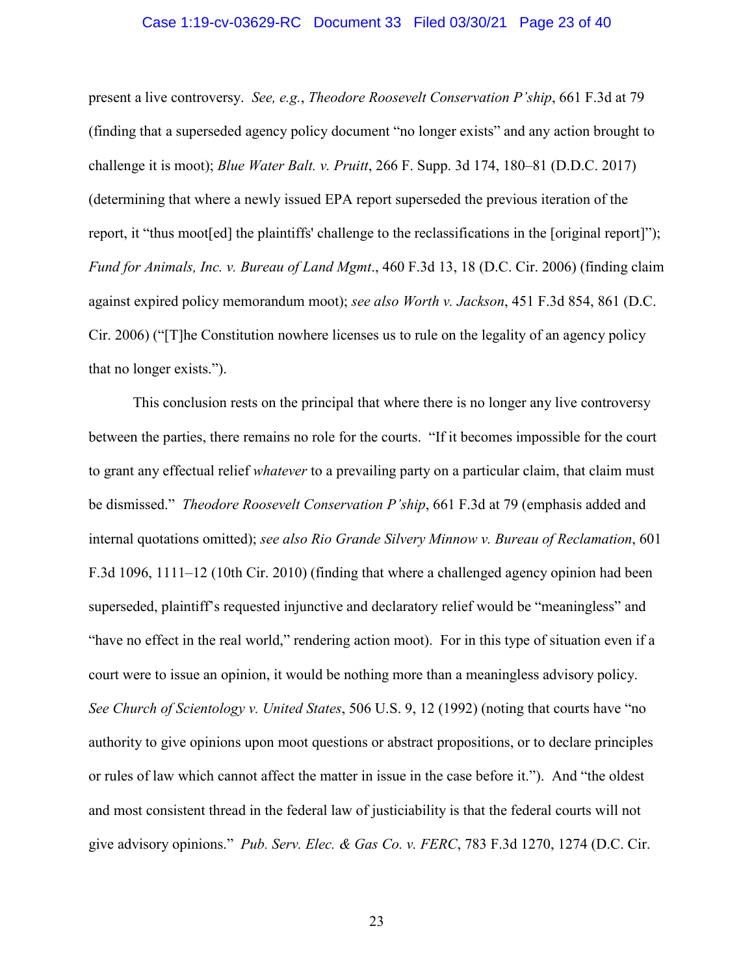#### Case 1:19-cv-03629-RC Document 33 Filed 03/30/21 Page 23 of 40

present a live controversy. *See, e.g.*, *Theodore Roosevelt Conservation P'ship*, 661 F.3d at 79 (finding that a superseded agency policy document "no longer exists" and any action brought to challenge it is moot); *Blue Water Balt. v. Pruitt*, 266 F. Supp. 3d 174, 180–81 (D.D.C. 2017) (determining that where a newly issued EPA report superseded the previous iteration of the report, it "thus moot[ed] the plaintiffs' challenge to the reclassifications in the [original report]"); *Fund for Animals, Inc. v. Bureau of Land Mgmt*., 460 F.3d 13, 18 (D.C. Cir. 2006) (finding claim against expired policy memorandum moot); *see also Worth v. Jackson*, 451 F.3d 854, 861 (D.C. Cir. 2006) ("[T]he Constitution nowhere licenses us to rule on the legality of an agency policy that no longer exists.").

This conclusion rests on the principal that where there is no longer any live controversy between the parties, there remains no role for the courts. "If it becomes impossible for the court to grant any effectual relief *whatever* to a prevailing party on a particular claim, that claim must be dismissed." *Theodore Roosevelt Conservation P'ship*, 661 F.3d at 79 (emphasis added and internal quotations omitted); *see also Rio Grande Silvery Minnow v. Bureau of Reclamation*, 601 F.3d 1096, 1111–12 (10th Cir. 2010) (finding that where a challenged agency opinion had been superseded, plaintiff's requested injunctive and declaratory relief would be "meaningless" and "have no effect in the real world," rendering action moot). For in this type of situation even if a court were to issue an opinion, it would be nothing more than a meaningless advisory policy. *See Church of Scientology v. United States*, 506 U.S. 9, 12 (1992) (noting that courts have "no authority to give opinions upon moot questions or abstract propositions, or to declare principles or rules of law which cannot affect the matter in issue in the case before it."). And "the oldest and most consistent thread in the federal law of justiciability is that the federal courts will not give advisory opinions." *Pub. Serv. Elec. & Gas Co. v. FERC*, 783 F.3d 1270, 1274 (D.C. Cir.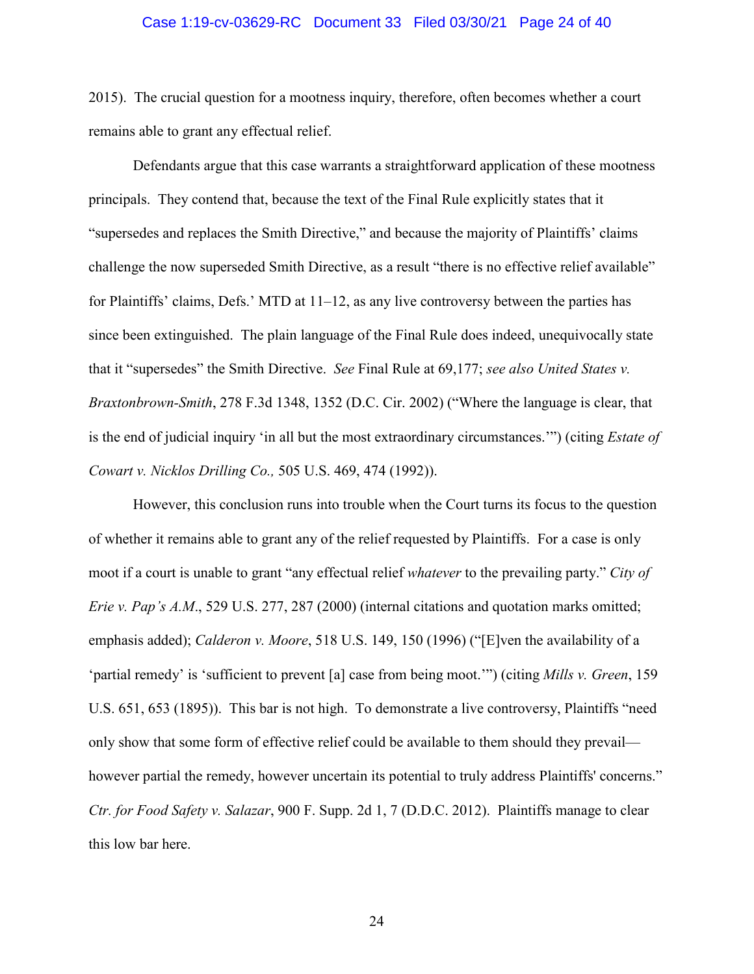#### Case 1:19-cv-03629-RC Document 33 Filed 03/30/21 Page 24 of 40

2015). The crucial question for a mootness inquiry, therefore, often becomes whether a court remains able to grant any effectual relief.

Defendants argue that this case warrants a straightforward application of these mootness principals. They contend that, because the text of the Final Rule explicitly states that it "supersedes and replaces the Smith Directive," and because the majority of Plaintiffs' claims challenge the now superseded Smith Directive, as a result "there is no effective relief available" for Plaintiffs' claims, Defs.' MTD at 11–12, as any live controversy between the parties has since been extinguished. The plain language of the Final Rule does indeed, unequivocally state that it "supersedes" the Smith Directive. *See* Final Rule at 69,177; *see also United States v. Braxtonbrown-Smith*, 278 F.3d 1348, 1352 (D.C. Cir. 2002) ("Where the language is clear, that is the end of judicial inquiry 'in all but the most extraordinary circumstances.'") (citing *Estate of Cowart v. Nicklos Drilling Co.,* 505 U.S. 469, 474 (1992)).

However, this conclusion runs into trouble when the Court turns its focus to the question of whether it remains able to grant any of the relief requested by Plaintiffs. For a case is only moot if a court is unable to grant "any effectual relief *whatever* to the prevailing party." *City of Erie v. Pap's A.M.*, 529 U.S. 277, 287 (2000) (internal citations and quotation marks omitted; emphasis added); *Calderon v. Moore*, 518 U.S. 149, 150 (1996) ("[E]ven the availability of a 'partial remedy' is 'sufficient to prevent [a] case from being moot.'") (citing *Mills v. Green*, 159 U.S. 651, 653 (1895)). This bar is not high. To demonstrate a live controversy, Plaintiffs "need only show that some form of effective relief could be available to them should they prevail however partial the remedy, however uncertain its potential to truly address Plaintiffs' concerns." *Ctr. for Food Safety v. Salazar*, 900 F. Supp. 2d 1, 7 (D.D.C. 2012). Plaintiffs manage to clear this low bar here.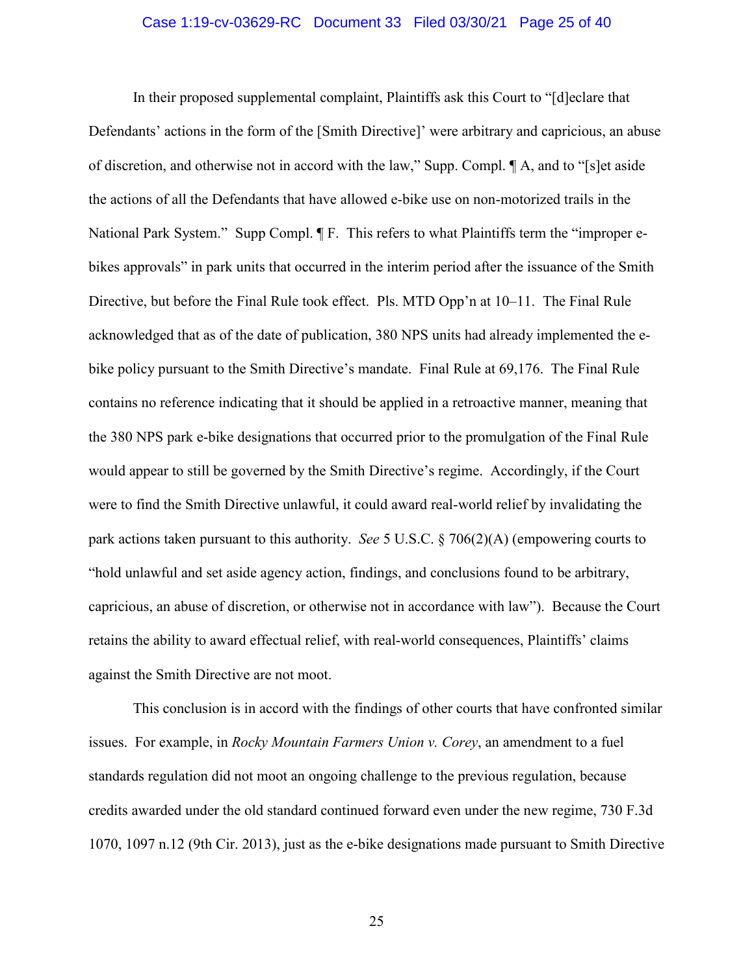#### Case 1:19-cv-03629-RC Document 33 Filed 03/30/21 Page 25 of 40

In their proposed supplemental complaint, Plaintiffs ask this Court to "[d]eclare that Defendants' actions in the form of the [Smith Directive]' were arbitrary and capricious, an abuse of discretion, and otherwise not in accord with the law," Supp. Compl. ¶ A, and to "[s]et aside the actions of all the Defendants that have allowed e-bike use on non-motorized trails in the National Park System." Supp Compl. ¶ F. This refers to what Plaintiffs term the "improper ebikes approvals" in park units that occurred in the interim period after the issuance of the Smith Directive, but before the Final Rule took effect. Pls. MTD Opp'n at 10–11. The Final Rule acknowledged that as of the date of publication, 380 NPS units had already implemented the ebike policy pursuant to the Smith Directive's mandate. Final Rule at 69,176. The Final Rule contains no reference indicating that it should be applied in a retroactive manner, meaning that the 380 NPS park e-bike designations that occurred prior to the promulgation of the Final Rule would appear to still be governed by the Smith Directive's regime. Accordingly, if the Court were to find the Smith Directive unlawful, it could award real-world relief by invalidating the park actions taken pursuant to this authority. *See* 5 U.S.C. § 706(2)(A) (empowering courts to "hold unlawful and set aside agency action, findings, and conclusions found to be arbitrary, capricious, an abuse of discretion, or otherwise not in accordance with law"). Because the Court retains the ability to award effectual relief, with real-world consequences, Plaintiffs' claims against the Smith Directive are not moot.

This conclusion is in accord with the findings of other courts that have confronted similar issues. For example, in *Rocky Mountain Farmers Union v. Corey*, an amendment to a fuel standards regulation did not moot an ongoing challenge to the previous regulation, because credits awarded under the old standard continued forward even under the new regime, 730 F.3d 1070, 1097 n.12 (9th Cir. 2013), just as the e-bike designations made pursuant to Smith Directive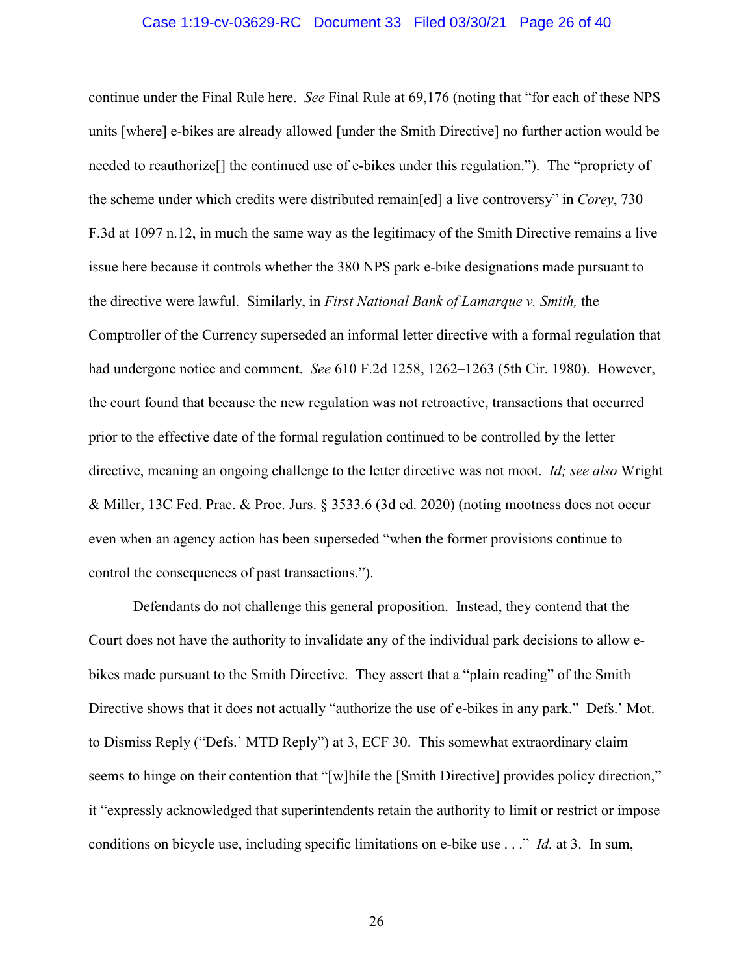#### Case 1:19-cv-03629-RC Document 33 Filed 03/30/21 Page 26 of 40

continue under the Final Rule here. *See* Final Rule at 69,176 (noting that "for each of these NPS units [where] e-bikes are already allowed [under the Smith Directive] no further action would be needed to reauthorize[] the continued use of e-bikes under this regulation."). The "propriety of the scheme under which credits were distributed remain[ed] a live controversy" in *Corey*, 730 F.3d at 1097 n.12, in much the same way as the legitimacy of the Smith Directive remains a live issue here because it controls whether the 380 NPS park e-bike designations made pursuant to the directive were lawful. Similarly, in *First National Bank of Lamarque v. Smith,* the Comptroller of the Currency superseded an informal letter directive with a formal regulation that had undergone notice and comment. *See* 610 F.2d 1258, 1262–1263 (5th Cir. 1980). However, the court found that because the new regulation was not retroactive, transactions that occurred prior to the effective date of the formal regulation continued to be controlled by the letter directive, meaning an ongoing challenge to the letter directive was not moot. *Id; see also* Wright & Miller, 13C Fed. Prac. & Proc. Jurs. § 3533.6 (3d ed. 2020) (noting mootness does not occur even when an agency action has been superseded "when the former provisions continue to control the consequences of past transactions.").

Defendants do not challenge this general proposition. Instead, they contend that the Court does not have the authority to invalidate any of the individual park decisions to allow ebikes made pursuant to the Smith Directive. They assert that a "plain reading" of the Smith Directive shows that it does not actually "authorize the use of e-bikes in any park." Defs.' Mot. to Dismiss Reply ("Defs.' MTD Reply") at 3, ECF 30. This somewhat extraordinary claim seems to hinge on their contention that "[w]hile the [Smith Directive] provides policy direction," it "expressly acknowledged that superintendents retain the authority to limit or restrict or impose conditions on bicycle use, including specific limitations on e-bike use . . ." *Id.* at 3. In sum,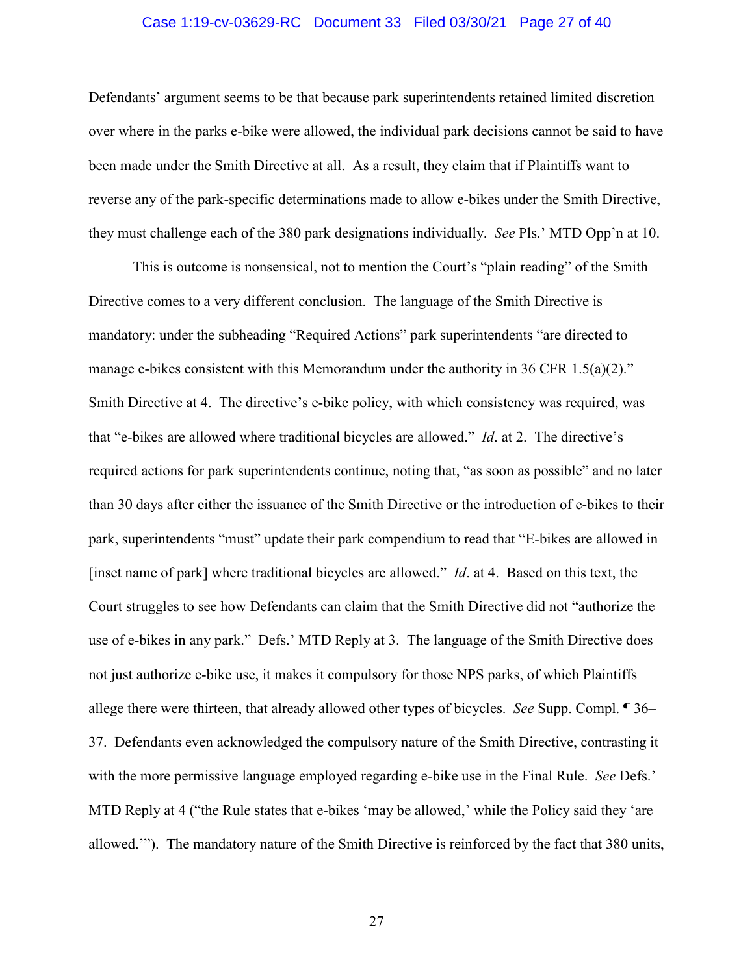#### Case 1:19-cv-03629-RC Document 33 Filed 03/30/21 Page 27 of 40

Defendants' argument seems to be that because park superintendents retained limited discretion over where in the parks e-bike were allowed, the individual park decisions cannot be said to have been made under the Smith Directive at all. As a result, they claim that if Plaintiffs want to reverse any of the park-specific determinations made to allow e-bikes under the Smith Directive, they must challenge each of the 380 park designations individually. *See* Pls.' MTD Opp'n at 10.

This is outcome is nonsensical, not to mention the Court's "plain reading" of the Smith Directive comes to a very different conclusion. The language of the Smith Directive is mandatory: under the subheading "Required Actions" park superintendents "are directed to manage e-bikes consistent with this Memorandum under the authority in 36 CFR 1.5(a)(2)." Smith Directive at 4. The directive's e-bike policy, with which consistency was required, was that "e-bikes are allowed where traditional bicycles are allowed." *Id*. at 2. The directive's required actions for park superintendents continue, noting that, "as soon as possible" and no later than 30 days after either the issuance of the Smith Directive or the introduction of e-bikes to their park, superintendents "must" update their park compendium to read that "E-bikes are allowed in [inset name of park] where traditional bicycles are allowed." *Id.* at 4. Based on this text, the Court struggles to see how Defendants can claim that the Smith Directive did not "authorize the use of e-bikes in any park." Defs.' MTD Reply at 3. The language of the Smith Directive does not just authorize e-bike use, it makes it compulsory for those NPS parks, of which Plaintiffs allege there were thirteen, that already allowed other types of bicycles. *See* Supp. Compl. ¶ 36– 37. Defendants even acknowledged the compulsory nature of the Smith Directive, contrasting it with the more permissive language employed regarding e-bike use in the Final Rule. *See* Defs.' MTD Reply at 4 ("the Rule states that e-bikes 'may be allowed,' while the Policy said they 'are allowed.'"). The mandatory nature of the Smith Directive is reinforced by the fact that 380 units,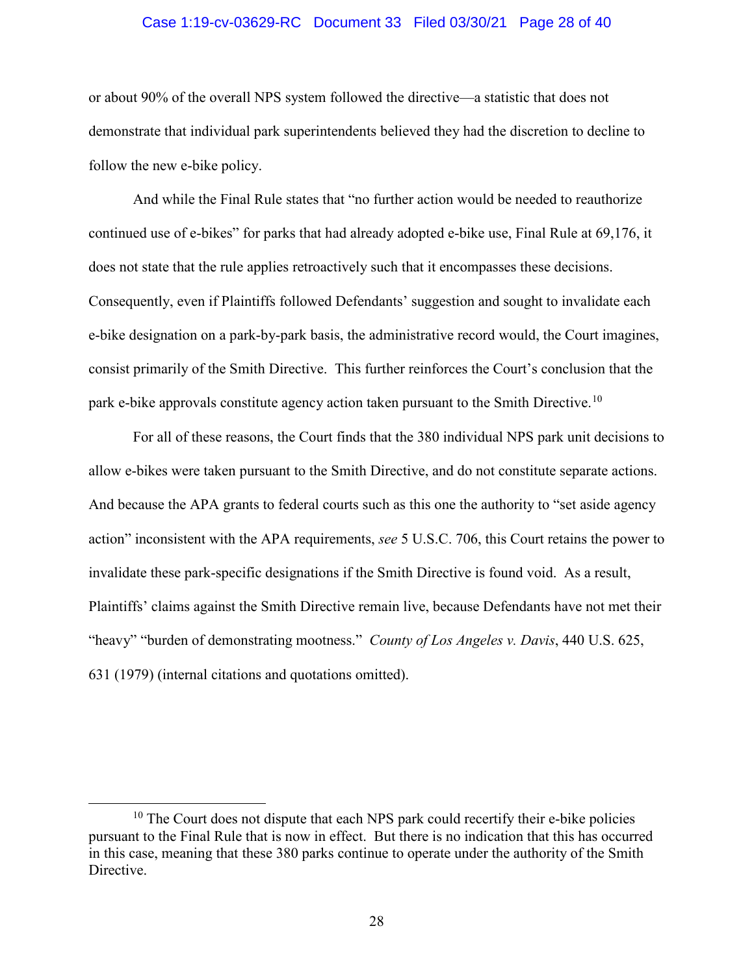#### Case 1:19-cv-03629-RC Document 33 Filed 03/30/21 Page 28 of 40

or about 90% of the overall NPS system followed the directive—a statistic that does not demonstrate that individual park superintendents believed they had the discretion to decline to follow the new e-bike policy.

And while the Final Rule states that "no further action would be needed to reauthorize continued use of e-bikes" for parks that had already adopted e-bike use, Final Rule at 69,176, it does not state that the rule applies retroactively such that it encompasses these decisions. Consequently, even if Plaintiffs followed Defendants' suggestion and sought to invalidate each e-bike designation on a park-by-park basis, the administrative record would, the Court imagines, consist primarily of the Smith Directive. This further reinforces the Court's conclusion that the park e-bike approvals constitute agency action taken pursuant to the Smith Directive.<sup>10</sup>

For all of these reasons, the Court finds that the 380 individual NPS park unit decisions to allow e-bikes were taken pursuant to the Smith Directive, and do not constitute separate actions. And because the APA grants to federal courts such as this one the authority to "set aside agency action" inconsistent with the APA requirements, *see* 5 U.S.C. 706, this Court retains the power to invalidate these park-specific designations if the Smith Directive is found void. As a result, Plaintiffs' claims against the Smith Directive remain live, because Defendants have not met their "heavy" "burden of demonstrating mootness." *County of Los Angeles v. Davis*, 440 U.S. 625, 631 (1979) (internal citations and quotations omitted).

 $10$  The Court does not dispute that each NPS park could recertify their e-bike policies pursuant to the Final Rule that is now in effect. But there is no indication that this has occurred in this case, meaning that these 380 parks continue to operate under the authority of the Smith Directive.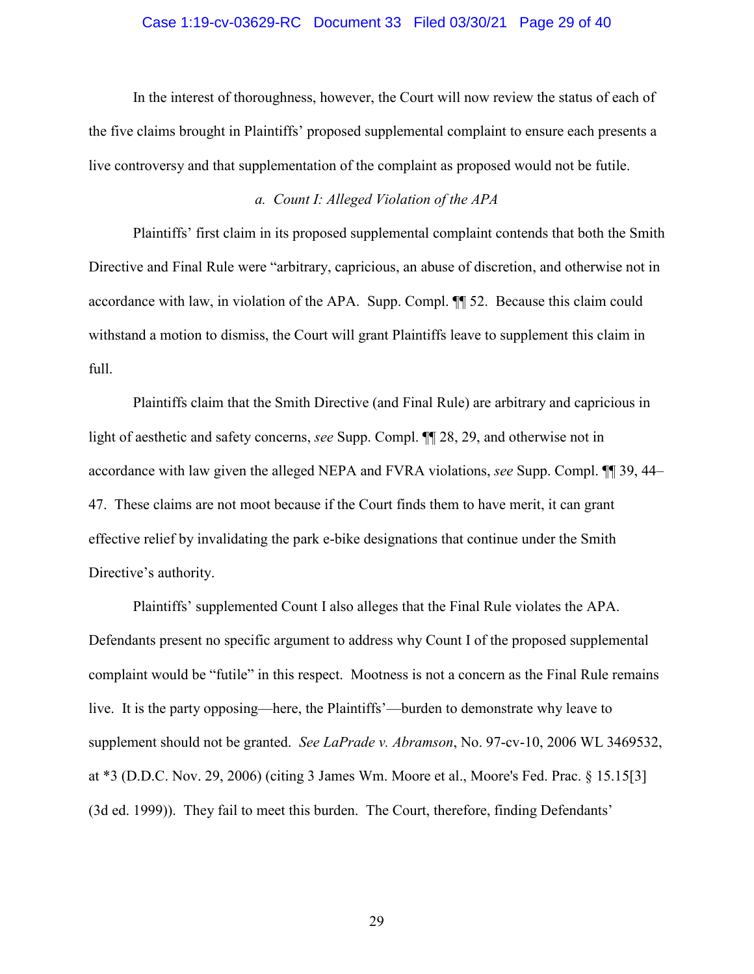#### Case 1:19-cv-03629-RC Document 33 Filed 03/30/21 Page 29 of 40

In the interest of thoroughness, however, the Court will now review the status of each of the five claims brought in Plaintiffs' proposed supplemental complaint to ensure each presents a live controversy and that supplementation of the complaint as proposed would not be futile.

### *a. Count I: Alleged Violation of the APA*

Plaintiffs' first claim in its proposed supplemental complaint contends that both the Smith Directive and Final Rule were "arbitrary, capricious, an abuse of discretion, and otherwise not in accordance with law, in violation of the APA. Supp. Compl. ¶¶ 52. Because this claim could withstand a motion to dismiss, the Court will grant Plaintiffs leave to supplement this claim in full.

Plaintiffs claim that the Smith Directive (and Final Rule) are arbitrary and capricious in light of aesthetic and safety concerns, *see* Supp. Compl. ¶¶ 28, 29, and otherwise not in accordance with law given the alleged NEPA and FVRA violations, *see* Supp. Compl. ¶¶ 39, 44– 47. These claims are not moot because if the Court finds them to have merit, it can grant effective relief by invalidating the park e-bike designations that continue under the Smith Directive's authority.

Plaintiffs' supplemented Count I also alleges that the Final Rule violates the APA. Defendants present no specific argument to address why Count I of the proposed supplemental complaint would be "futile" in this respect. Mootness is not a concern as the Final Rule remains live. It is the party opposing—here, the Plaintiffs'—burden to demonstrate why leave to supplement should not be granted. *See LaPrade v. Abramson*, No. 97-cv-10, 2006 WL 3469532, at \*3 (D.D.C. Nov. 29, 2006) (citing 3 James Wm. Moore et al., Moore's Fed. Prac. § 15.15[3] (3d ed. 1999)). They fail to meet this burden. The Court, therefore, finding Defendants'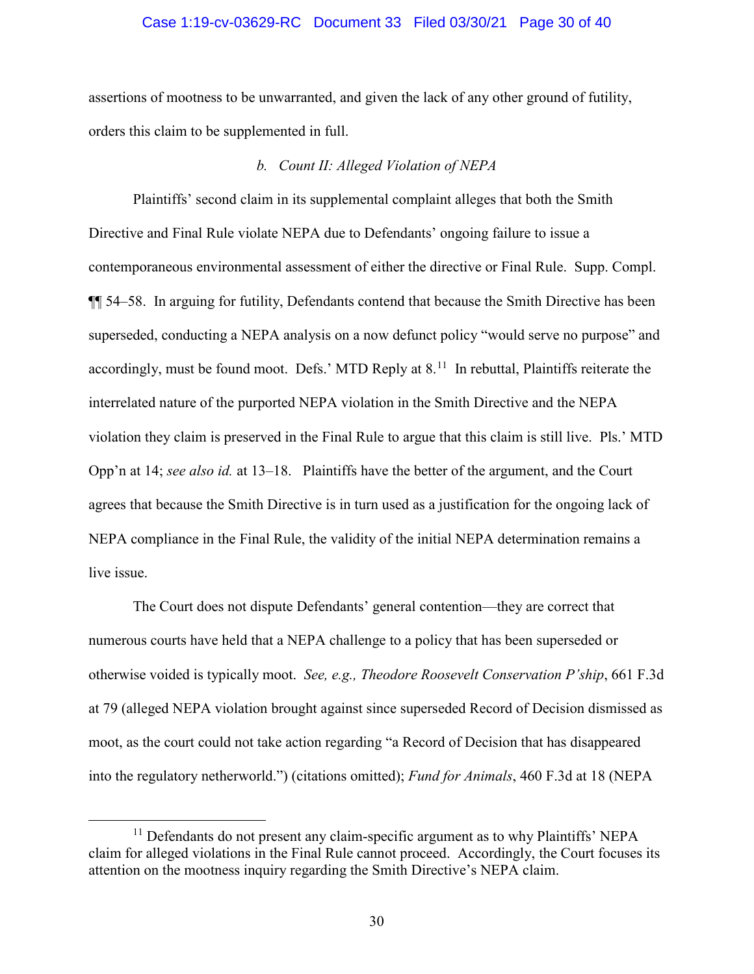#### Case 1:19-cv-03629-RC Document 33 Filed 03/30/21 Page 30 of 40

assertions of mootness to be unwarranted, and given the lack of any other ground of futility, orders this claim to be supplemented in full.

### *b. Count II: Alleged Violation of NEPA*

Plaintiffs' second claim in its supplemental complaint alleges that both the Smith Directive and Final Rule violate NEPA due to Defendants' ongoing failure to issue a contemporaneous environmental assessment of either the directive or Final Rule. Supp. Compl. ¶¶ 54–58. In arguing for futility, Defendants contend that because the Smith Directive has been superseded, conducting a NEPA analysis on a now defunct policy "would serve no purpose" and accordingly, must be found moot. Defs.' MTD Reply at  $8<sup>11</sup>$  In rebuttal, Plaintiffs reiterate the interrelated nature of the purported NEPA violation in the Smith Directive and the NEPA violation they claim is preserved in the Final Rule to argue that this claim is still live. Pls.' MTD Opp'n at 14; *see also id.* at 13–18. Plaintiffs have the better of the argument, and the Court agrees that because the Smith Directive is in turn used as a justification for the ongoing lack of NEPA compliance in the Final Rule, the validity of the initial NEPA determination remains a live issue.

The Court does not dispute Defendants' general contention—they are correct that numerous courts have held that a NEPA challenge to a policy that has been superseded or otherwise voided is typically moot. *See, e.g., Theodore Roosevelt Conservation P'ship*, 661 F.3d at 79 (alleged NEPA violation brought against since superseded Record of Decision dismissed as moot, as the court could not take action regarding "a Record of Decision that has disappeared into the regulatory netherworld.") (citations omitted); *Fund for Animals*, 460 F.3d at 18 (NEPA

 $11$  Defendants do not present any claim-specific argument as to why Plaintiffs' NEPA claim for alleged violations in the Final Rule cannot proceed. Accordingly, the Court focuses its attention on the mootness inquiry regarding the Smith Directive's NEPA claim.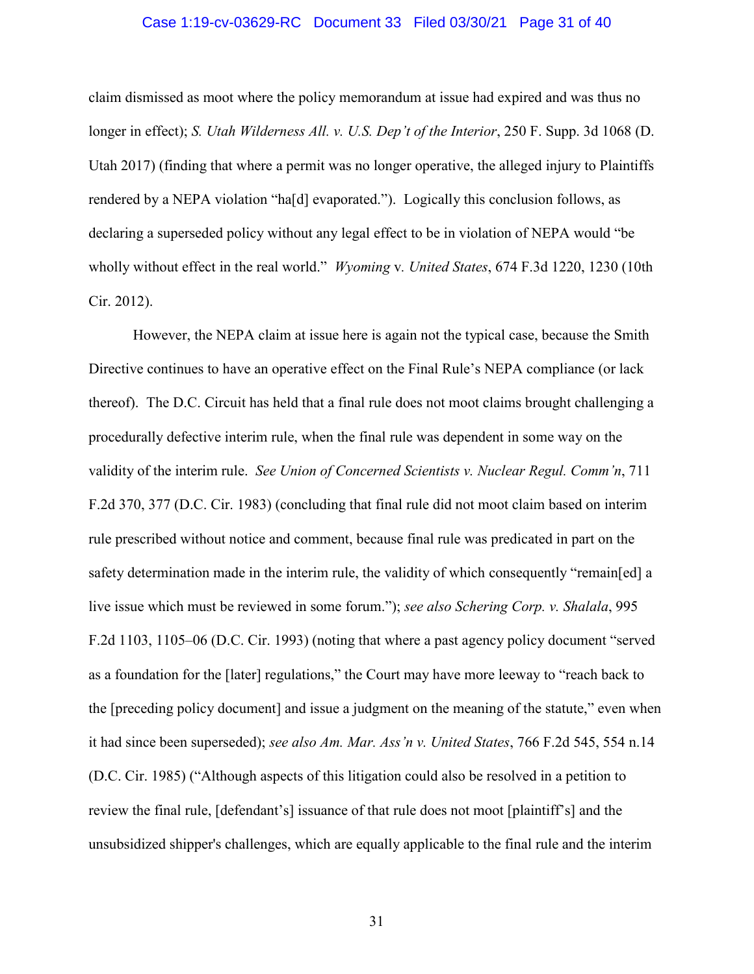#### Case 1:19-cv-03629-RC Document 33 Filed 03/30/21 Page 31 of 40

claim dismissed as moot where the policy memorandum at issue had expired and was thus no longer in effect); *S. Utah Wilderness All. v. U.S. Dep't of the Interior*, 250 F. Supp. 3d 1068 (D. Utah 2017) (finding that where a permit was no longer operative, the alleged injury to Plaintiffs rendered by a NEPA violation "ha[d] evaporated."). Logically this conclusion follows, as declaring a superseded policy without any legal effect to be in violation of NEPA would "be wholly without effect in the real world." *Wyoming* v*. United States*, 674 F.3d 1220, 1230 (10th Cir. 2012).

However, the NEPA claim at issue here is again not the typical case, because the Smith Directive continues to have an operative effect on the Final Rule's NEPA compliance (or lack thereof). The D.C. Circuit has held that a final rule does not moot claims brought challenging a procedurally defective interim rule, when the final rule was dependent in some way on the validity of the interim rule. *See Union of Concerned Scientists v. Nuclear Regul. Comm'n*, 711 F.2d 370, 377 (D.C. Cir. 1983) (concluding that final rule did not moot claim based on interim rule prescribed without notice and comment, because final rule was predicated in part on the safety determination made in the interim rule, the validity of which consequently "remain[ed] a live issue which must be reviewed in some forum."); *see also Schering Corp. v. Shalala*, 995 F.2d 1103, 1105–06 (D.C. Cir. 1993) (noting that where a past agency policy document "served as a foundation for the [later] regulations," the Court may have more leeway to "reach back to the [preceding policy document] and issue a judgment on the meaning of the statute," even when it had since been superseded); *see also Am. Mar. Ass'n v. United States*, 766 F.2d 545, 554 n.14 (D.C. Cir. 1985) ("Although aspects of this litigation could also be resolved in a petition to review the final rule, [defendant's] issuance of that rule does not moot [plaintiff's] and the unsubsidized shipper's challenges, which are equally applicable to the final rule and the interim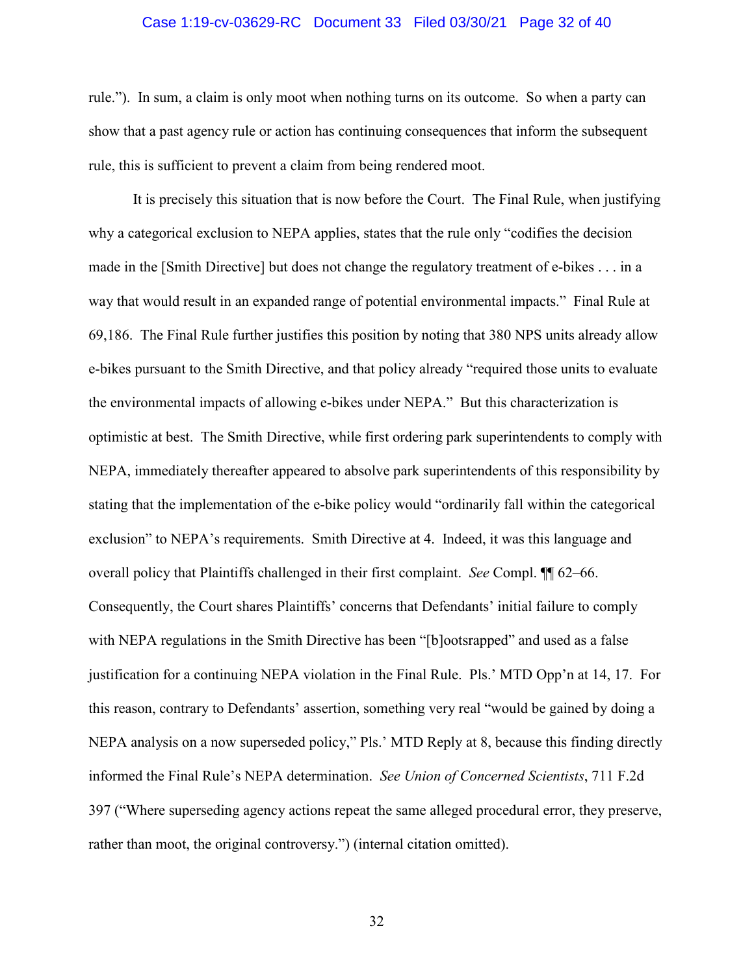#### Case 1:19-cv-03629-RC Document 33 Filed 03/30/21 Page 32 of 40

rule."). In sum, a claim is only moot when nothing turns on its outcome. So when a party can show that a past agency rule or action has continuing consequences that inform the subsequent rule, this is sufficient to prevent a claim from being rendered moot.

It is precisely this situation that is now before the Court. The Final Rule, when justifying why a categorical exclusion to NEPA applies, states that the rule only "codifies the decision made in the [Smith Directive] but does not change the regulatory treatment of e-bikes . . . in a way that would result in an expanded range of potential environmental impacts." Final Rule at 69,186. The Final Rule further justifies this position by noting that 380 NPS units already allow e-bikes pursuant to the Smith Directive, and that policy already "required those units to evaluate the environmental impacts of allowing e-bikes under NEPA." But this characterization is optimistic at best. The Smith Directive, while first ordering park superintendents to comply with NEPA, immediately thereafter appeared to absolve park superintendents of this responsibility by stating that the implementation of the e-bike policy would "ordinarily fall within the categorical exclusion" to NEPA's requirements. Smith Directive at 4. Indeed, it was this language and overall policy that Plaintiffs challenged in their first complaint. *See* Compl. ¶¶ 62–66. Consequently, the Court shares Plaintiffs' concerns that Defendants' initial failure to comply with NEPA regulations in the Smith Directive has been "[b]ootsrapped" and used as a false justification for a continuing NEPA violation in the Final Rule. Pls.' MTD Opp'n at 14, 17. For this reason, contrary to Defendants' assertion, something very real "would be gained by doing a NEPA analysis on a now superseded policy," Pls.' MTD Reply at 8, because this finding directly informed the Final Rule's NEPA determination. *See Union of Concerned Scientists*, 711 F.2d 397 ("Where superseding agency actions repeat the same alleged procedural error, they preserve, rather than moot, the original controversy.") (internal citation omitted).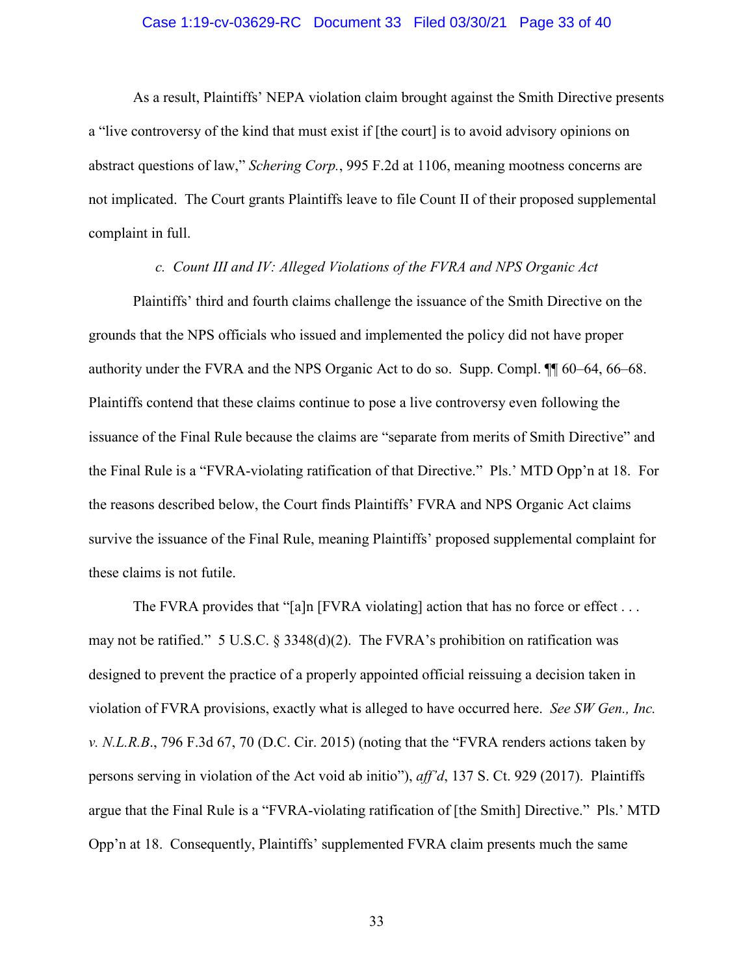#### Case 1:19-cv-03629-RC Document 33 Filed 03/30/21 Page 33 of 40

As a result, Plaintiffs' NEPA violation claim brought against the Smith Directive presents a "live controversy of the kind that must exist if [the court] is to avoid advisory opinions on abstract questions of law," *Schering Corp.*, 995 F.2d at 1106, meaning mootness concerns are not implicated. The Court grants Plaintiffs leave to file Count II of their proposed supplemental complaint in full.

#### *c. Count III and IV: Alleged Violations of the FVRA and NPS Organic Act*

Plaintiffs' third and fourth claims challenge the issuance of the Smith Directive on the grounds that the NPS officials who issued and implemented the policy did not have proper authority under the FVRA and the NPS Organic Act to do so. Supp. Compl. ¶¶ 60–64, 66–68. Plaintiffs contend that these claims continue to pose a live controversy even following the issuance of the Final Rule because the claims are "separate from merits of Smith Directive" and the Final Rule is a "FVRA-violating ratification of that Directive." Pls.' MTD Opp'n at 18. For the reasons described below, the Court finds Plaintiffs' FVRA and NPS Organic Act claims survive the issuance of the Final Rule, meaning Plaintiffs' proposed supplemental complaint for these claims is not futile.

The FVRA provides that "[a]n [FVRA violating] action that has no force or effect  $\dots$ may not be ratified." 5 U.S.C.  $\S 3348(d)(2)$ . The FVRA's prohibition on ratification was designed to prevent the practice of a properly appointed official reissuing a decision taken in violation of FVRA provisions, exactly what is alleged to have occurred here. *See SW Gen., Inc. v. N.L.R.B*., 796 F.3d 67, 70 (D.C. Cir. 2015) (noting that the "FVRA renders actions taken by persons serving in violation of the Act void ab initio"), *aff'd*, 137 S. Ct. 929 (2017). Plaintiffs argue that the Final Rule is a "FVRA-violating ratification of [the Smith] Directive." Pls.' MTD Opp'n at 18. Consequently, Plaintiffs' supplemented FVRA claim presents much the same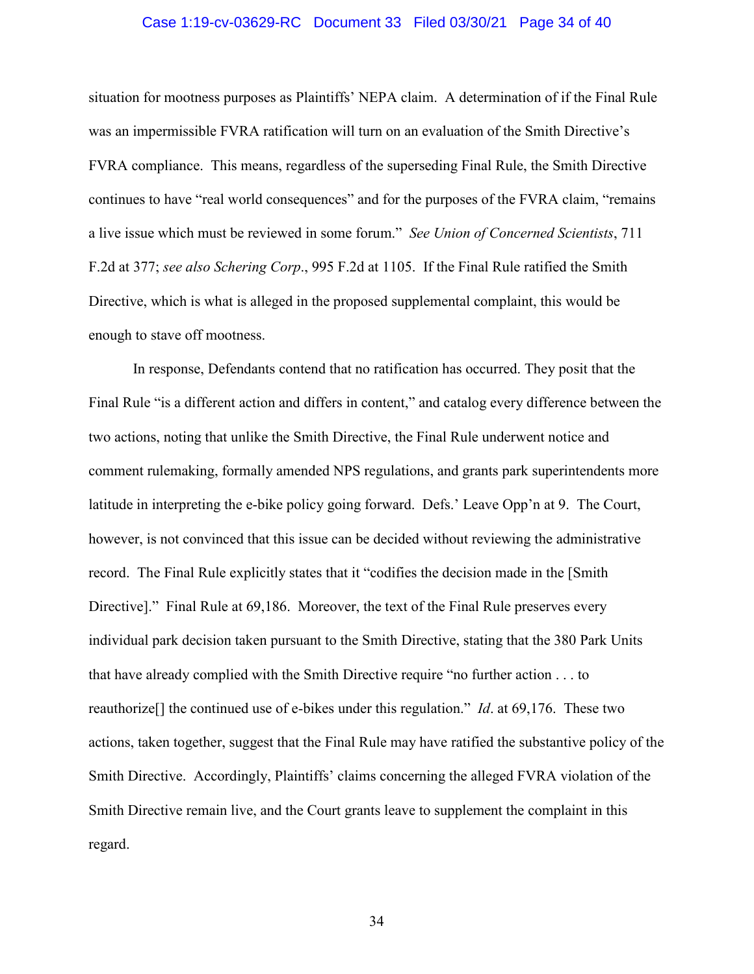#### Case 1:19-cv-03629-RC Document 33 Filed 03/30/21 Page 34 of 40

situation for mootness purposes as Plaintiffs' NEPA claim. A determination of if the Final Rule was an impermissible FVRA ratification will turn on an evaluation of the Smith Directive's FVRA compliance. This means, regardless of the superseding Final Rule, the Smith Directive continues to have "real world consequences" and for the purposes of the FVRA claim, "remains a live issue which must be reviewed in some forum." *See Union of Concerned Scientists*, 711 F.2d at 377; *see also Schering Corp*., 995 F.2d at 1105. If the Final Rule ratified the Smith Directive, which is what is alleged in the proposed supplemental complaint, this would be enough to stave off mootness.

In response, Defendants contend that no ratification has occurred. They posit that the Final Rule "is a different action and differs in content," and catalog every difference between the two actions, noting that unlike the Smith Directive, the Final Rule underwent notice and comment rulemaking, formally amended NPS regulations, and grants park superintendents more latitude in interpreting the e-bike policy going forward. Defs.' Leave Opp'n at 9. The Court, however, is not convinced that this issue can be decided without reviewing the administrative record. The Final Rule explicitly states that it "codifies the decision made in the [Smith Directive]." Final Rule at 69,186. Moreover, the text of the Final Rule preserves every individual park decision taken pursuant to the Smith Directive, stating that the 380 Park Units that have already complied with the Smith Directive require "no further action . . . to reauthorize[] the continued use of e-bikes under this regulation." *Id*. at 69,176. These two actions, taken together, suggest that the Final Rule may have ratified the substantive policy of the Smith Directive. Accordingly, Plaintiffs' claims concerning the alleged FVRA violation of the Smith Directive remain live, and the Court grants leave to supplement the complaint in this regard.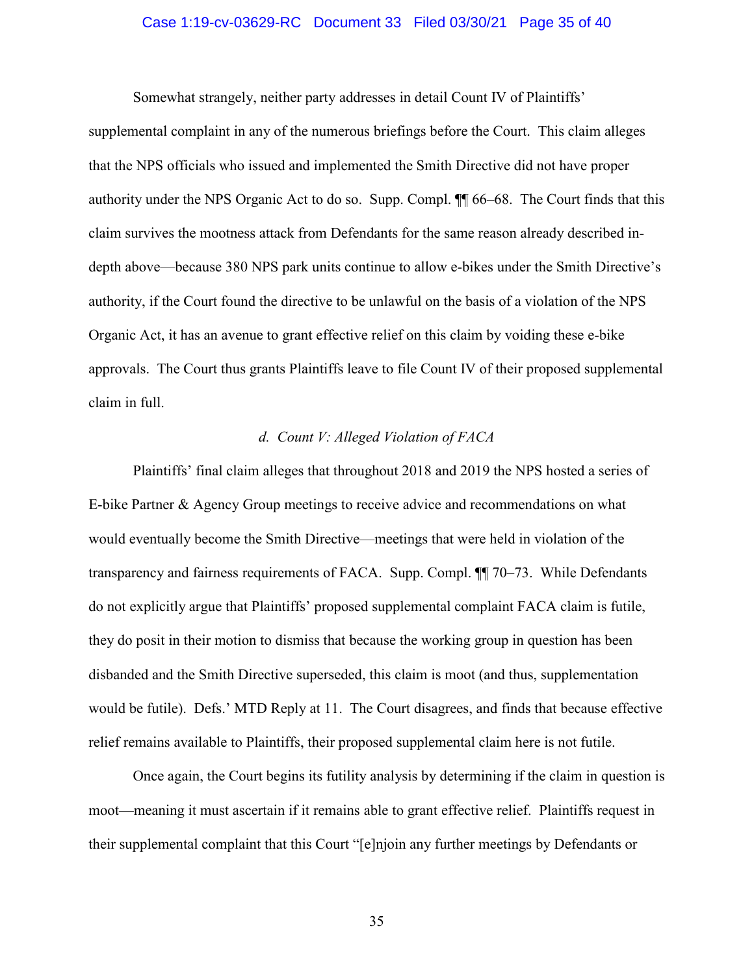#### Case 1:19-cv-03629-RC Document 33 Filed 03/30/21 Page 35 of 40

Somewhat strangely, neither party addresses in detail Count IV of Plaintiffs'

supplemental complaint in any of the numerous briefings before the Court. This claim alleges that the NPS officials who issued and implemented the Smith Directive did not have proper authority under the NPS Organic Act to do so. Supp. Compl. ¶¶ 66–68. The Court finds that this claim survives the mootness attack from Defendants for the same reason already described indepth above—because 380 NPS park units continue to allow e-bikes under the Smith Directive's authority, if the Court found the directive to be unlawful on the basis of a violation of the NPS Organic Act, it has an avenue to grant effective relief on this claim by voiding these e-bike approvals. The Court thus grants Plaintiffs leave to file Count IV of their proposed supplemental claim in full.

#### *d. Count V: Alleged Violation of FACA*

Plaintiffs' final claim alleges that throughout 2018 and 2019 the NPS hosted a series of E-bike Partner & Agency Group meetings to receive advice and recommendations on what would eventually become the Smith Directive—meetings that were held in violation of the transparency and fairness requirements of FACA. Supp. Compl. ¶¶ 70–73. While Defendants do not explicitly argue that Plaintiffs' proposed supplemental complaint FACA claim is futile, they do posit in their motion to dismiss that because the working group in question has been disbanded and the Smith Directive superseded, this claim is moot (and thus, supplementation would be futile). Defs.' MTD Reply at 11. The Court disagrees, and finds that because effective relief remains available to Plaintiffs, their proposed supplemental claim here is not futile.

Once again, the Court begins its futility analysis by determining if the claim in question is moot—meaning it must ascertain if it remains able to grant effective relief. Plaintiffs request in their supplemental complaint that this Court "[e]njoin any further meetings by Defendants or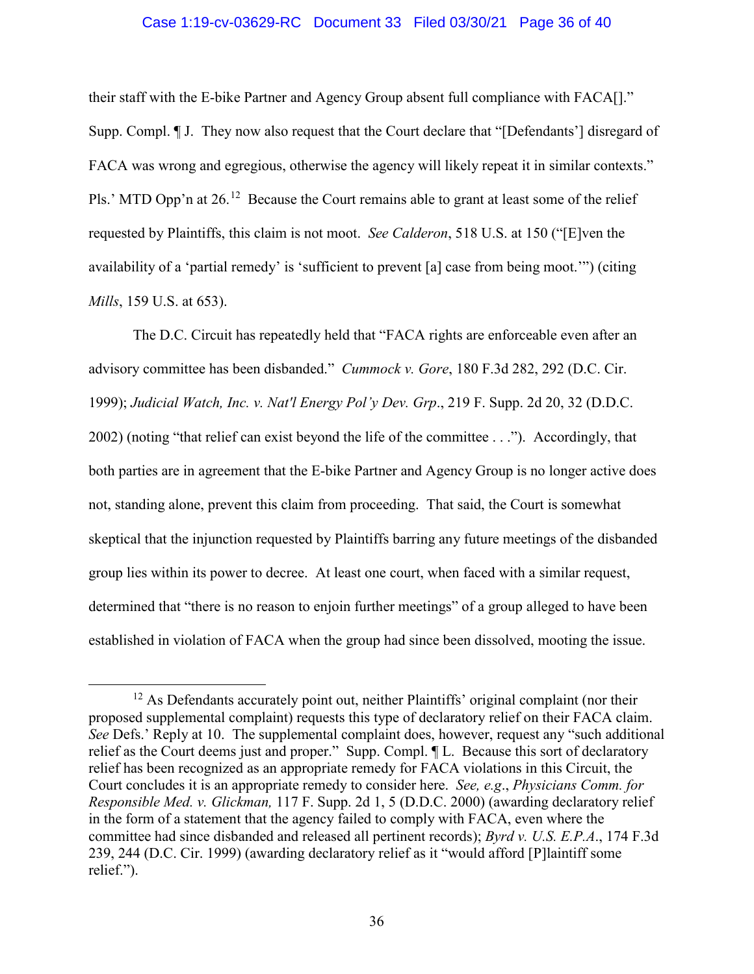#### Case 1:19-cv-03629-RC Document 33 Filed 03/30/21 Page 36 of 40

their staff with the E-bike Partner and Agency Group absent full compliance with FACA[]." Supp. Compl. ¶ J. They now also request that the Court declare that "[Defendants'] disregard of FACA was wrong and egregious, otherwise the agency will likely repeat it in similar contexts." Pls.' MTD Opp'n at 26.<sup>12</sup> Because the Court remains able to grant at least some of the relief requested by Plaintiffs, this claim is not moot. *See Calderon*, 518 U.S. at 150 ("[E]ven the availability of a 'partial remedy' is 'sufficient to prevent [a] case from being moot.'") (citing *Mills*, 159 U.S. at 653).

The D.C. Circuit has repeatedly held that "FACA rights are enforceable even after an advisory committee has been disbanded." *Cummock v. Gore*, 180 F.3d 282, 292 (D.C. Cir. 1999); *Judicial Watch, Inc. v. Nat'l Energy Pol'y Dev. Grp*., 219 F. Supp. 2d 20, 32 (D.D.C. 2002) (noting "that relief can exist beyond the life of the committee . . ."). Accordingly, that both parties are in agreement that the E-bike Partner and Agency Group is no longer active does not, standing alone, prevent this claim from proceeding. That said, the Court is somewhat skeptical that the injunction requested by Plaintiffs barring any future meetings of the disbanded group lies within its power to decree. At least one court, when faced with a similar request, determined that "there is no reason to enjoin further meetings" of a group alleged to have been established in violation of FACA when the group had since been dissolved, mooting the issue.

 $12$  As Defendants accurately point out, neither Plaintiffs' original complaint (nor their proposed supplemental complaint) requests this type of declaratory relief on their FACA claim. *See* Defs.' Reply at 10. The supplemental complaint does, however, request any "such additional relief as the Court deems just and proper." Supp. Compl. ¶ L. Because this sort of declaratory relief has been recognized as an appropriate remedy for FACA violations in this Circuit, the Court concludes it is an appropriate remedy to consider here. *See, e.g*., *Physicians Comm. for Responsible Med. v. Glickman,* 117 F. Supp. 2d 1, 5 (D.D.C. 2000) (awarding declaratory relief in the form of a statement that the agency failed to comply with FACA, even where the committee had since disbanded and released all pertinent records); *Byrd v. U.S. E.P.A*., 174 F.3d 239, 244 (D.C. Cir. 1999) (awarding declaratory relief as it "would afford [P]laintiff some relief.").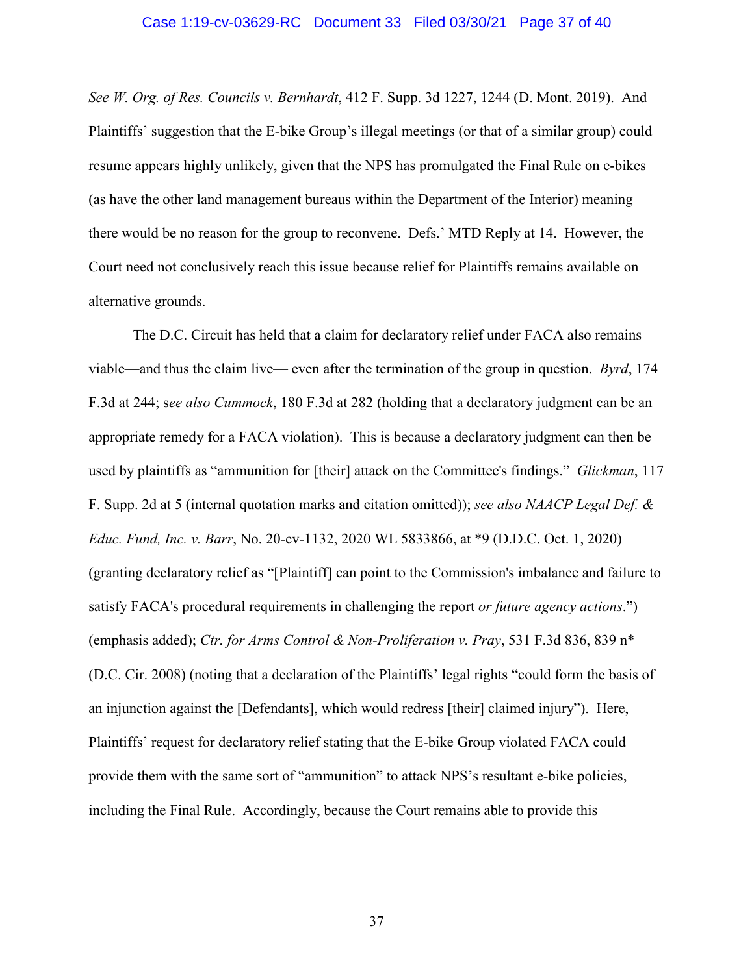#### Case 1:19-cv-03629-RC Document 33 Filed 03/30/21 Page 37 of 40

*See W. Org. of Res. Councils v. Bernhardt*, 412 F. Supp. 3d 1227, 1244 (D. Mont. 2019). And Plaintiffs' suggestion that the E-bike Group's illegal meetings (or that of a similar group) could resume appears highly unlikely, given that the NPS has promulgated the Final Rule on e-bikes (as have the other land management bureaus within the Department of the Interior) meaning there would be no reason for the group to reconvene. Defs.' MTD Reply at 14. However, the Court need not conclusively reach this issue because relief for Plaintiffs remains available on alternative grounds.

The D.C. Circuit has held that a claim for declaratory relief under FACA also remains viable—and thus the claim live— even after the termination of the group in question. *Byrd*, 174 F.3d at 244; s*ee also Cummock*, 180 F.3d at 282 (holding that a declaratory judgment can be an appropriate remedy for a FACA violation). This is because a declaratory judgment can then be used by plaintiffs as "ammunition for [their] attack on the Committee's findings." *Glickman*, 117 F. Supp. 2d at 5 (internal quotation marks and citation omitted)); *see also NAACP Legal Def. & Educ. Fund, Inc. v. Barr*, No. 20-cv-1132, 2020 WL 5833866, at \*9 (D.D.C. Oct. 1, 2020) (granting declaratory relief as "[Plaintiff] can point to the Commission's imbalance and failure to satisfy FACA's procedural requirements in challenging the report *or future agency actions*.") (emphasis added); *Ctr. for Arms Control & Non-Proliferation v. Pray*, 531 F.3d 836, 839 n\* (D.C. Cir. 2008) (noting that a declaration of the Plaintiffs' legal rights "could form the basis of an injunction against the [Defendants], which would redress [their] claimed injury"). Here, Plaintiffs' request for declaratory relief stating that the E-bike Group violated FACA could provide them with the same sort of "ammunition" to attack NPS's resultant e-bike policies, including the Final Rule. Accordingly, because the Court remains able to provide this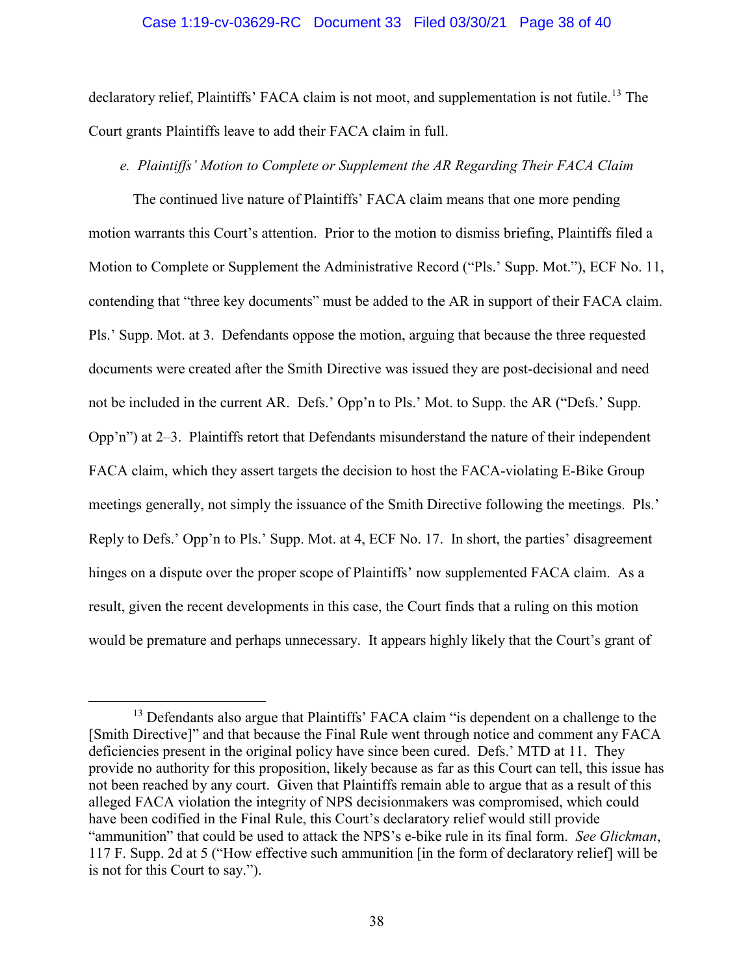#### Case 1:19-cv-03629-RC Document 33 Filed 03/30/21 Page 38 of 40

declaratory relief, Plaintiffs' FACA claim is not moot, and supplementation is not futile.<sup>13</sup> The Court grants Plaintiffs leave to add their FACA claim in full.

## *e. Plaintiffs' Motion to Complete or Supplement the AR Regarding Their FACA Claim*

The continued live nature of Plaintiffs' FACA claim means that one more pending motion warrants this Court's attention. Prior to the motion to dismiss briefing, Plaintiffs filed a Motion to Complete or Supplement the Administrative Record ("Pls.' Supp. Mot."), ECF No. 11, contending that "three key documents" must be added to the AR in support of their FACA claim. Pls.' Supp. Mot. at 3. Defendants oppose the motion, arguing that because the three requested documents were created after the Smith Directive was issued they are post-decisional and need not be included in the current AR. Defs.' Opp'n to Pls.' Mot. to Supp. the AR ("Defs.' Supp. Opp'n") at 2–3. Plaintiffs retort that Defendants misunderstand the nature of their independent FACA claim, which they assert targets the decision to host the FACA-violating E-Bike Group meetings generally, not simply the issuance of the Smith Directive following the meetings. Pls.' Reply to Defs.' Opp'n to Pls.' Supp. Mot. at 4, ECF No. 17. In short, the parties' disagreement hinges on a dispute over the proper scope of Plaintiffs' now supplemented FACA claim. As a result, given the recent developments in this case, the Court finds that a ruling on this motion would be premature and perhaps unnecessary. It appears highly likely that the Court's grant of

<sup>&</sup>lt;sup>13</sup> Defendants also argue that Plaintiffs' FACA claim "is dependent on a challenge to the [Smith Directive]" and that because the Final Rule went through notice and comment any FACA deficiencies present in the original policy have since been cured. Defs.' MTD at 11. They provide no authority for this proposition, likely because as far as this Court can tell, this issue has not been reached by any court. Given that Plaintiffs remain able to argue that as a result of this alleged FACA violation the integrity of NPS decisionmakers was compromised, which could have been codified in the Final Rule, this Court's declaratory relief would still provide "ammunition" that could be used to attack the NPS's e-bike rule in its final form. *See Glickman*, 117 F. Supp. 2d at 5 ("How effective such ammunition [in the form of declaratory relief] will be is not for this Court to say.").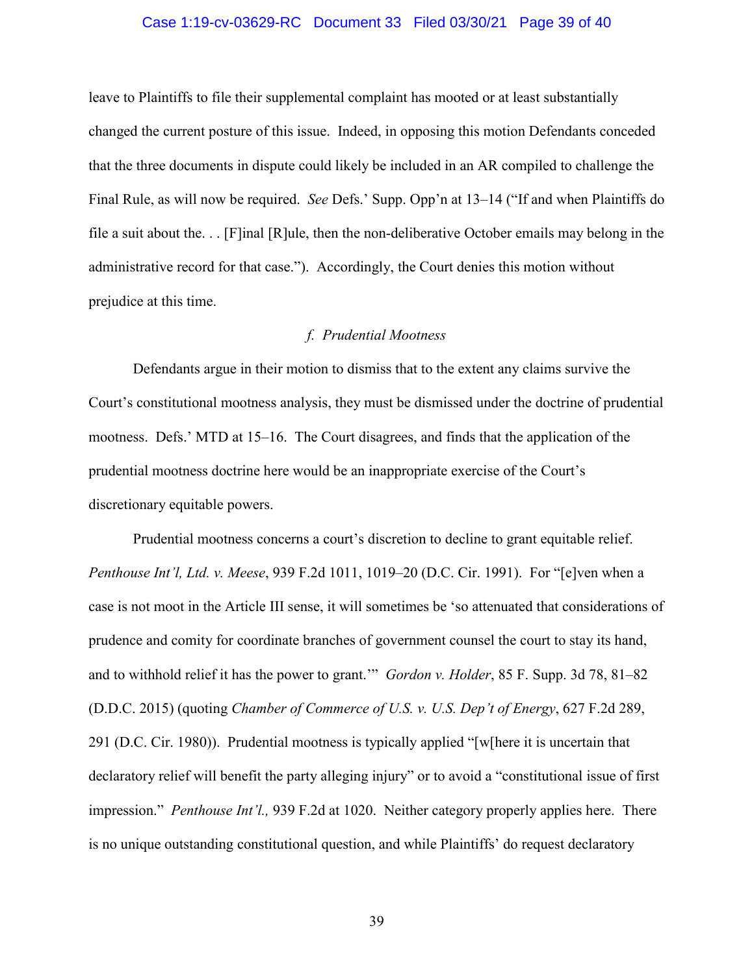#### Case 1:19-cv-03629-RC Document 33 Filed 03/30/21 Page 39 of 40

leave to Plaintiffs to file their supplemental complaint has mooted or at least substantially changed the current posture of this issue. Indeed, in opposing this motion Defendants conceded that the three documents in dispute could likely be included in an AR compiled to challenge the Final Rule, as will now be required. *See* Defs.' Supp. Opp'n at 13–14 ("If and when Plaintiffs do file a suit about the. . . [F]inal [R]ule, then the non-deliberative October emails may belong in the administrative record for that case."). Accordingly, the Court denies this motion without prejudice at this time.

## *f. Prudential Mootness*

Defendants argue in their motion to dismiss that to the extent any claims survive the Court's constitutional mootness analysis, they must be dismissed under the doctrine of prudential mootness. Defs.' MTD at 15–16. The Court disagrees, and finds that the application of the prudential mootness doctrine here would be an inappropriate exercise of the Court's discretionary equitable powers.

Prudential mootness concerns a court's discretion to decline to grant equitable relief. *Penthouse Int'l, Ltd. v. Meese*, 939 F.2d 1011, 1019–20 (D.C. Cir. 1991). For "[e]ven when a case is not moot in the Article III sense, it will sometimes be 'so attenuated that considerations of prudence and comity for coordinate branches of government counsel the court to stay its hand, and to withhold relief it has the power to grant.'" *Gordon v. Holder*, 85 F. Supp. 3d 78, 81–82 (D.D.C. 2015) (quoting *Chamber of Commerce of U.S. v. U.S. Dep't of Energy*, 627 F.2d 289, 291 (D.C. Cir. 1980)). Prudential mootness is typically applied "[w[here it is uncertain that declaratory relief will benefit the party alleging injury" or to avoid a "constitutional issue of first impression." *Penthouse Int'l.,* 939 F.2d at 1020. Neither category properly applies here. There is no unique outstanding constitutional question, and while Plaintiffs' do request declaratory